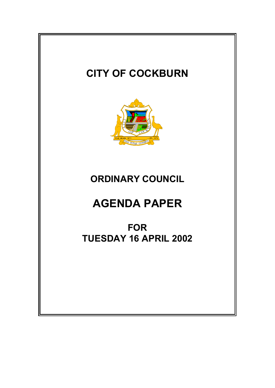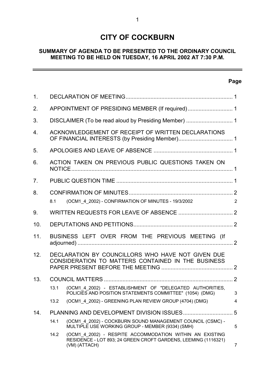# **CITY OF COCKBURN**

# **SUMMARY OF AGENDA TO BE PRESENTED TO THE ORDINARY COUNCIL MEETING TO BE HELD ON TUESDAY, 16 APRIL 2002 AT 7:30 P.M.**

# **Page**

 $\equiv$ 

| 1.  |                                                                                                         |                                                                                                                                             |   |  |  |  |  |
|-----|---------------------------------------------------------------------------------------------------------|---------------------------------------------------------------------------------------------------------------------------------------------|---|--|--|--|--|
| 2.  |                                                                                                         | APPOINTMENT OF PRESIDING MEMBER (If required) 1                                                                                             |   |  |  |  |  |
| 3.  |                                                                                                         |                                                                                                                                             |   |  |  |  |  |
| 4.  |                                                                                                         | ACKNOWLEDGEMENT OF RECEIPT OF WRITTEN DECLARATIONS                                                                                          |   |  |  |  |  |
| 5.  |                                                                                                         |                                                                                                                                             |   |  |  |  |  |
| 6.  |                                                                                                         | ACTION TAKEN ON PREVIOUS PUBLIC QUESTIONS TAKEN ON                                                                                          |   |  |  |  |  |
| 7.  |                                                                                                         |                                                                                                                                             |   |  |  |  |  |
| 8.  |                                                                                                         |                                                                                                                                             |   |  |  |  |  |
|     | 8.1                                                                                                     | (OCM1_4_2002) - CONFIRMATION OF MINUTES - 19/3/2002                                                                                         | 2 |  |  |  |  |
| 9.  |                                                                                                         |                                                                                                                                             |   |  |  |  |  |
| 10. |                                                                                                         |                                                                                                                                             |   |  |  |  |  |
| 11. |                                                                                                         | BUSINESS LEFT OVER FROM THE PREVIOUS MEETING (If                                                                                            |   |  |  |  |  |
| 12. | DECLARATION BY COUNCILLORS WHO HAVE NOT GIVEN DUE<br>CONSIDERATION TO MATTERS CONTAINED IN THE BUSINESS |                                                                                                                                             |   |  |  |  |  |
| 13. |                                                                                                         |                                                                                                                                             |   |  |  |  |  |
|     | 13.1                                                                                                    | (OCM1 4 2002) - ESTABLISHMENT OF "DELEGATED AUTHORITIES,<br>POLICIES AND POSITION STATEMENTS COMMITTEE" (1054) (DMG)                        | 3 |  |  |  |  |
|     | 13.2                                                                                                    | (OCM1 4 2002) - GREENING PLAN REVIEW GROUP (4704) (DMG)                                                                                     | 4 |  |  |  |  |
| 14. | 5                                                                                                       |                                                                                                                                             |   |  |  |  |  |
|     | 14.1                                                                                                    | (OCM1 4 2002) - COCKBURN SOUND MANAGEMENT COUNCIL (CSMC) -<br>MULTIPLE USE WORKING GROUP - MEMBER (9334) (SMH)                              | 5 |  |  |  |  |
|     | 14.2                                                                                                    | (OCM1_4_2002) - RESPITE ACCOMMODATION WITHIN AN EXISTING<br>RESIDENCE - LOT 893; 24 GREEN CROFT GARDENS, LEEMING (1116321)<br>(VM) (ATTACH) | 7 |  |  |  |  |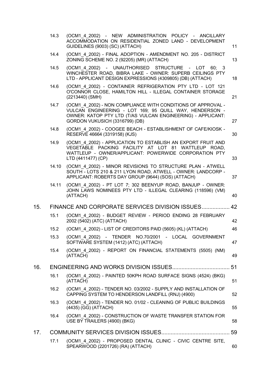|     | 14.3  | (OCM1 4 2002) - NEW ADMINISTRATION POLICY - ANCILLARY<br>ACCOMMODATION ON RESIDENTIAL ZONED LAND - DEVELOPMENT<br>GUIDELINES (9003) (SC) (ATTACH)                                                                        | 11 |
|-----|-------|--------------------------------------------------------------------------------------------------------------------------------------------------------------------------------------------------------------------------|----|
|     | 14.4  | (OCM1 4 2002) - FINAL ADOPTION - AMENDMENT NO. 205 - DISTRICT<br>ZONING SCHEME NO. 2 (92205) (MR) (ATTACH)                                                                                                               | 13 |
|     | 14.5  | (OCM1_4_2002) - UNAUTHORISED STRUCTURE - LOT 60; 3<br>WINCHESTER ROAD, BIBRA LAKE - OWNER: SUPERB CEILINGS PTY<br>LTD - APPLICANT DESIGN EXPRESSIONS (4309805) (DB) (ATTACH)                                             | 18 |
|     | 14.6  | (OCM1 4 2002) - CONTAINER REFRIGERATION PTY LTD - LOT 121<br>O'CONNOR CLOSE, HAMILTON HILL - ILLEGAL CONTAINER STORAGE<br>(2213440) (SMH)                                                                                | 21 |
|     | 14.7  | (OCM1 4 2002) - NON COMPLIANCE WITH CONDITIONS OF APPROVAL -<br>VULCAN ENGINEERING - LOT 169; 95 QUILL WAY, HENDERSON -<br>OWNER: KATOP PTY LTD (T/AS VULCAN ENGINEERING) - APPLICANT:<br>GORDON VUKUSICH (3316799) (DB) | 27 |
|     | 14.8  | (OCM1 4 2002) - COOGEE BEACH - ESTABLISHMENT OF CAFE/KIOSK -<br>RESERVE 46664 (3319158) (KJS)                                                                                                                            | 30 |
|     | 14.9  | (OCM1 4 2002) - APPLICATION TO ESTABLISH AN EXPORT FRUIT AND<br>VEGETABLE PACKING FACILITY AT LOT 81 WATTLEUP ROAD,<br>WATTLEUP - OWNER/APPLICANT: POWERWIDE CORPORATION PTY<br>LTD (4411477) (CP)                       | 33 |
|     | 14.10 | (OCM1 4 2002) - MINOR REVISIONS TO STRUCTURE PLAN - ATWELL<br>SOUTH - LOTS 210 & 211 LYON ROAD, ATWELL - OWNER: LANDCORP -<br>APPLICANT: ROBERTS DAY GROUP (9644) (SOS) (ATTACH)                                         | 37 |
|     | 14.11 | (OCM1 4 2002) - PT LOT 7; 302 BEENYUP ROAD, BANJUP - OWNER:<br>JOHN LAWS NOMINEES PTY LTD - ILLEGAL CLEARING (118596) (VM)<br>(ATTACH)                                                                                   | 40 |
| 15. |       | FINANCE AND CORPORATE SERVICES DIVISION ISSUES 42                                                                                                                                                                        |    |
|     | 15.1  | (OCM1 4 2002) - BUDGET REVIEW - PERIOD ENDING 28 FEBRUARY<br>2002 (5402) (ATC) (ATTACH)                                                                                                                                  | 42 |
|     | 15.2  | (OCM1 4 2002) - LIST OF CREDITORS PAID (5605) (KL) (ATTACH)                                                                                                                                                              | 46 |
|     | 15.3  | (OCM1_4_2002) - TENDER NO.70/2001 - LOCAL GOVERNMENT<br>SOFTWARE SYSTEM (1412) (ATC) (ATTACH)                                                                                                                            | 47 |
|     | 15.4  | (OCM1 4 2002) - REPORT ON FINANCIAL STATEMENTS (5505) (NM)<br>(ATTACH)                                                                                                                                                   | 49 |
| 16. |       |                                                                                                                                                                                                                          | 51 |
|     | 16.1  | (OCM1 4 2002) - PAINTED 50KPH ROAD SURFACE SIGNS (4524) (BKG)<br>(ATTACH)                                                                                                                                                | 51 |
|     | 16.2  | (OCM1 4 2002) - TENDER NO. 03/2002 - SUPPLY AND INSTALLATION OF<br>CAPPING SYSTEM TO HENDERSON LANDFILL (RNJ) (4900)                                                                                                     | 52 |
|     | 16.3  | (OCM1 4 2002) - TENDER NO. 01/02 - CLEANING OF PUBLIC BUILDINGS<br>(4435) (GG) (ATTACH)                                                                                                                                  | 55 |
|     | 16.4  | (OCM1 4 2002) - CONSTRUCTION OF WASTE TRANSFER STATION FOR<br>USE BY TRAILERS (4900) (BKG)                                                                                                                               | 58 |
| 17. |       |                                                                                                                                                                                                                          | 59 |
|     | 17.1  | (OCM1 4 2002) - PROPOSED DENTAL CLINIC - CIVIC CENTRE SITE,<br>SPEARWOOD (2201726) (RA) (ATTACH)                                                                                                                         | 60 |
|     |       |                                                                                                                                                                                                                          |    |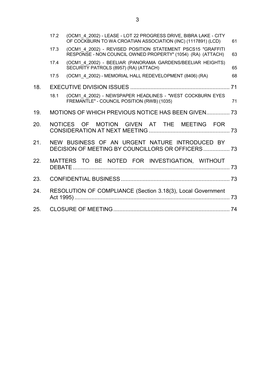|     | 17.2 | (OCM1 4 2002) - LEASE - LOT 22 PROGRESS DRIVE, BIBRA LAKE - CITY<br>OF COCKBURN TO WA CROATIAN ASSOCIATION (INC) (1117891) (LCD) | 61 |
|-----|------|----------------------------------------------------------------------------------------------------------------------------------|----|
|     | 17.3 | (OCM1 4 2002) - REVISED POSITION STATEMENT PSCS15 "GRAFFITI<br>RESPONSE - NON COUNCIL OWNED PROPERTY" (1054) (RA) (ATTACH)       | 63 |
|     | 17.4 | (OCM1_4_2002) - BEELIAR (PANORAMA GARDENS/BEELIAR HEIGHTS)<br>SECURITY PATROLS (8957) (RA) (ATTACH)                              | 65 |
|     | 17.5 | (OCM1 4 2002) - MEMORIAL HALL REDEVELOPMENT (8406) (RA)                                                                          | 68 |
| 18. |      |                                                                                                                                  |    |
|     | 18.1 | (OCM1 4 2002) - NEWSPAPER HEADLINES - "WEST COCKBURN EYES<br>FREMANTLE" - COUNCIL POSITION (RWB) (1035)                          | 71 |
| 19. |      | MOTIONS OF WHICH PREVIOUS NOTICE HAS BEEN GIVEN 73                                                                               |    |
| 20. |      | MOTION GIVEN AT THE MEETING FOR<br>NOTICES OF                                                                                    |    |
| 21. |      | NEW BUSINESS OF AN URGENT NATURE INTRODUCED BY<br>DECISION OF MEETING BY COUNCILLORS OR OFFICERS 73                              |    |
| 22. |      | MATTERS TO BE NOTED FOR INVESTIGATION, WITHOUT                                                                                   |    |
| 23. |      |                                                                                                                                  |    |
| 24. |      | RESOLUTION OF COMPLIANCE (Section 3.18(3), Local Government                                                                      |    |
| 25. |      |                                                                                                                                  |    |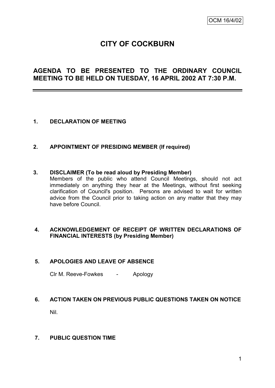# **CITY OF COCKBURN**

# **AGENDA TO BE PRESENTED TO THE ORDINARY COUNCIL MEETING TO BE HELD ON TUESDAY, 16 APRIL 2002 AT 7:30 P.M.**

#### **1. DECLARATION OF MEETING**

#### **2. APPOINTMENT OF PRESIDING MEMBER (If required)**

#### **3. DISCLAIMER (To be read aloud by Presiding Member)**

Members of the public who attend Council Meetings, should not act immediately on anything they hear at the Meetings, without first seeking clarification of Council's position. Persons are advised to wait for written advice from the Council prior to taking action on any matter that they may have before Council.

## **4. ACKNOWLEDGEMENT OF RECEIPT OF WRITTEN DECLARATIONS OF FINANCIAL INTERESTS (by Presiding Member)**

#### **5. APOLOGIES AND LEAVE OF ABSENCE**

Clr M. Reeve-Fowkes - Apology

#### **6. ACTION TAKEN ON PREVIOUS PUBLIC QUESTIONS TAKEN ON NOTICE**

Nil.

#### **7. PUBLIC QUESTION TIME**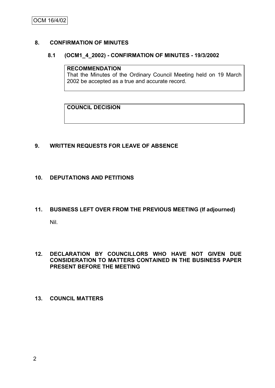#### **8. CONFIRMATION OF MINUTES**

#### **8.1 (OCM1\_4\_2002) - CONFIRMATION OF MINUTES - 19/3/2002**

#### **RECOMMENDATION**

That the Minutes of the Ordinary Council Meeting held on 19 March 2002 be accepted as a true and accurate record.

**COUNCIL DECISION**

#### **9. WRITTEN REQUESTS FOR LEAVE OF ABSENCE**

#### **10. DEPUTATIONS AND PETITIONS**

# **11. BUSINESS LEFT OVER FROM THE PREVIOUS MEETING (If adjourned)**

Nil.

#### **12. DECLARATION BY COUNCILLORS WHO HAVE NOT GIVEN DUE CONSIDERATION TO MATTERS CONTAINED IN THE BUSINESS PAPER PRESENT BEFORE THE MEETING**

#### **13. COUNCIL MATTERS**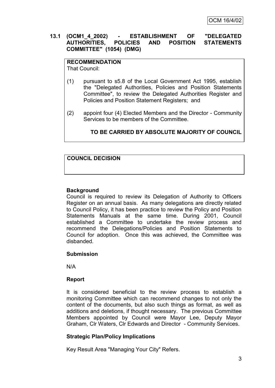#### **13.1 (OCM1\_4\_2002) - ESTABLISHMENT OF "DELEGATED AUTHORITIES, POLICIES AND POSITION STATEMENTS COMMITTEE" (1054) (DMG)**

# **RECOMMENDATION**

That Council:

- (1) pursuant to s5.8 of the Local Government Act 1995, establish the "Delegated Authorities, Policies and Position Statements Committee", to review the Delegated Authorities Register and Policies and Position Statement Registers; and
- (2) appoint four (4) Elected Members and the Director Community Services to be members of the Committee.

# **TO BE CARRIED BY ABSOLUTE MAJORITY OF COUNCIL**

# **COUNCIL DECISION**

# **Background**

Council is required to review its Delegation of Authority to Officers Register on an annual basis. As many delegations are directly related to Council Policy, it has been practice to review the Policy and Position Statements Manuals at the same time. During 2001, Council established a Committee to undertake the review process and recommend the Delegations/Policies and Position Statements to Council for adoption. Once this was achieved, the Committee was disbanded.

# **Submission**

N/A

# **Report**

It is considered beneficial to the review process to establish a monitoring Committee which can recommend changes to not only the content of the documents, but also such things as format, as well as additions and deletions, if thought necessary. The previous Committee Members appointed by Council were Mayor Lee, Deputy Mayor Graham, Clr Waters, Clr Edwards and Director - Community Services.

# **Strategic Plan/Policy Implications**

Key Result Area "Managing Your City" Refers.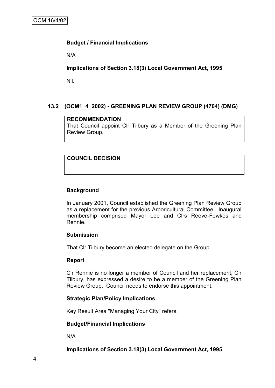## **Budget / Financial Implications**

N/A

## **Implications of Section 3.18(3) Local Government Act, 1995**

Nil.

# **13.2 (OCM1\_4\_2002) - GREENING PLAN REVIEW GROUP (4704) (DMG)**

## **RECOMMENDATION**

That Council appoint Clr Tilbury as a Member of the Greening Plan Review Group.

## **COUNCIL DECISION**

#### **Background**

In January 2001, Council established the Greening Plan Review Group as a replacement for the previous Arboricultural Committee. Inaugural membership comprised Mayor Lee and Clrs Reeve-Fowkes and Rennie.

#### **Submission**

That Clr Tilbury become an elected delegate on the Group.

#### **Report**

Clr Rennie is no longer a member of Council and her replacement, Clr Tilbury, has expressed a desire to be a member of the Greening Plan Review Group. Council needs to endorse this appointment.

#### **Strategic Plan/Policy Implications**

Key Result Area "Managing Your City" refers.

#### **Budget/Financial Implications**

N/A

**Implications of Section 3.18(3) Local Government Act, 1995**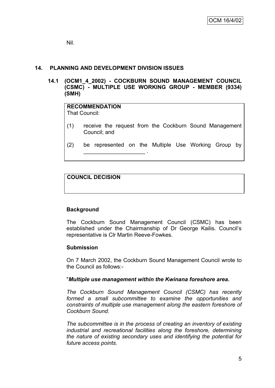Nil.

# **14. PLANNING AND DEVELOPMENT DIVISION ISSUES**

\_\_\_\_\_\_\_\_\_\_\_\_\_\_\_\_\_\_\_\_ .

**14.1 (OCM1\_4\_2002) - COCKBURN SOUND MANAGEMENT COUNCIL (CSMC) - MULTIPLE USE WORKING GROUP - MEMBER (9334) (SMH)**

# **RECOMMENDATION**

That Council:

- (1) receive the request from the Cockburn Sound Management Council; and
- (2) be represented on the Multiple Use Working Group by

# **COUNCIL DECISION**

# **Background**

The Cockburn Sound Management Council (CSMC) has been established under the Chairmanship of Dr George Kailis. Council"s representative is Clr Martin Reeve-Fowkes.

#### **Submission**

On 7 March 2002, the Cockburn Sound Management Council wrote to the Council as follows:-

#### "*Multiple use management within the Kwinana foreshore area.*

*The Cockburn Sound Management Council (CSMC) has recently formed a small subcommittee to examine the opportunities and constraints of multiple use management along the eastern foreshore of Cockburn Sound.*

*The subcommittee is in the process of creating an inventory of existing industrial and recreational facilities along the foreshore, determining the nature of existing secondary uses and identifying the potential for future access points.*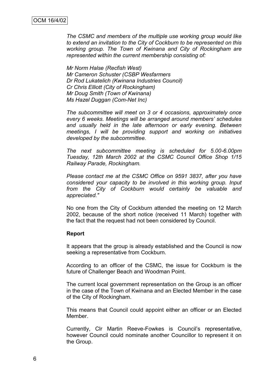*The CSMC and members of the multiple use working group would like to extend an invitation to the City of Cockburn to be represented on this working group. The Town of Kwinana and City of Rockingham are represented within the current membership consisting of:*

*Mr Norm Halse (Recfish West) Mr Cameron Schuster (CSBP Wesfarmers Dr Rod Lukatelich (Kwinana Industries Council) Cr Chris Elliott (City of Rockingham) Mr Doug Smith (Town of Kwinana) Ms Hazel Duggan (Com-Net Inc)*

*The subcommittee will meet on 3 or 4 occasions, approximately once every 6 weeks. Meetings will be arranged around members" schedules and usually held in the late afternoon or early evening. Between meetings, I will be providing support and working on initiatives developed by the subcommittee.*

*The next subcommittee meeting is scheduled for 5.00-6.00pm Tuesday, 12th March 2002 at the CSMC Council Office Shop 1/15 Railway Parade, Rockingham.*

*Please contact me at the CSMC Office on 9591 3837, after you have considered your capacity to be involved in this working group. Input from the City of Cockburn would certainly be valuable and appreciated."*

No one from the City of Cockburn attended the meeting on 12 March 2002, because of the short notice (received 11 March) together with the fact that the request had not been considered by Council.

#### **Report**

It appears that the group is already established and the Council is now seeking a representative from Cockburn.

According to an officer of the CSMC, the issue for Cockburn is the future of Challenger Beach and Woodman Point.

The current local government representation on the Group is an officer in the case of the Town of Kwinana and an Elected Member in the case of the City of Rockingham.

This means that Council could appoint either an officer or an Elected Member.

Currently, Clr Martin Reeve-Fowkes is Council"s representative, however Council could nominate another Councillor to represent it on the Group.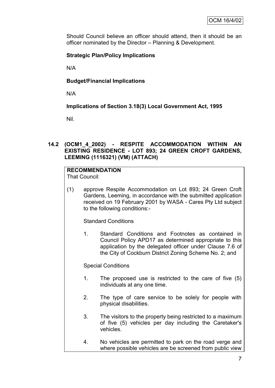Should Council believe an officer should attend, then it should be an officer nominated by the Director – Planning & Development.

# **Strategic Plan/Policy Implications**

N/A

# **Budget/Financial Implications**

N/A

**Implications of Section 3.18(3) Local Government Act, 1995**

Nil.

## **14.2 (OCM1\_4\_2002) - RESPITE ACCOMMODATION WITHIN AN EXISTING RESIDENCE - LOT 893; 24 GREEN CROFT GARDENS, LEEMING (1116321) (VM) (ATTACH)**

# **RECOMMENDATION**

That Council:

(1) approve Respite Accommodation on Lot 893; 24 Green Croft Gardens, Leeming, in accordance with the submitted application received on 19 February 2001 by WASA - Cares Pty Ltd subject to the following conditions:-

Standard Conditions

1. Standard Conditions and Footnotes as contained in Council Policy APD17 as determined appropriate to this application by the delegated officer under Clause 7.6 of the City of Cockburn District Zoning Scheme No. 2; and

Special Conditions

- 1. The proposed use is restricted to the care of five (5) individuals at any one time.
- 2. The type of care service to be solely for people with physical disabilities.
- 3. The visitors to the property being restricted to a maximum of five (5) vehicles per day including the Caretaker's vehicles.
- 4. No vehicles are permitted to park on the road verge and where possible vehicles are be screened from public view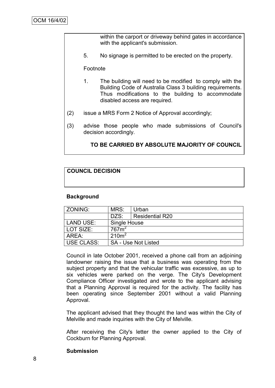within the carport or driveway behind gates in accordance with the applicant's submission.

5. No signage is permitted to be erected on the property.

Footnote

- 1. The building will need to be modified to comply with the Building Code of Australia Class 3 building requirements. Thus modifications to the building to accommodate disabled access are required.
- (2) issue a MRS Form 2 Notice of Approval accordingly;
- (3) advise those people who made submissions of Council's decision accordingly.

#### **TO BE CARRIED BY ABSOLUTE MAJORITY OF COUNCIL**

#### **COUNCIL DECISION**

#### **Background**

| ZONING:                                         | MRS:                              | Urban                  |  |
|-------------------------------------------------|-----------------------------------|------------------------|--|
|                                                 | DZS:                              | <b>Residential R20</b> |  |
| LAND USE:                                       | Single House<br>767m <sup>2</sup> |                        |  |
| LOT SIZE:                                       |                                   |                        |  |
| AREA:                                           | 210m <sup>2</sup>                 |                        |  |
| <b>USE CLASS:</b><br><b>SA - Use Not Listed</b> |                                   |                        |  |

Council in late October 2001, received a phone call from an adjoining landowner raising the issue that a business was operating from the subject property and that the vehicular traffic was excessive, as up to six vehicles were parked on the verge. The City's Development Compliance Officer investigated and wrote to the applicant advising that a Planning Approval is required for the activity. The facility has been operating since September 2001 without a valid Planning Approval.

The applicant advised that they thought the land was within the City of Melville and made inquiries with the City of Melville.

After receiving the City's letter the owner applied to the City of Cockburn for Planning Approval.

#### **Submission**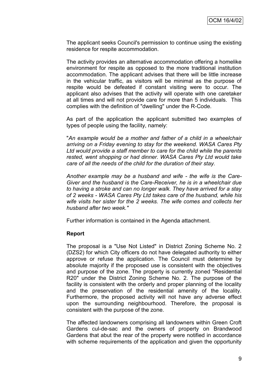The applicant seeks Council's permission to continue using the existing residence for respite accommodation.

The activity provides an alternative accommodation offering a homelike environment for respite as opposed to the more traditional institution accommodation. The applicant advises that there will be little increase in the vehicular traffic, as visitors will be minimal as the purpose of respite would be defeated if constant visiting were to occur. The applicant also advises that the activity will operate with one caretaker at all times and will not provide care for more than 5 individuals. This complies with the definition of "dwelling" under the R-Code.

As part of the application the applicant submitted two examples of types of people using the facility, namely:

"*An example would be a mother and father of a child in a wheelchair arriving on a Friday evening to stay for the weekend. WASA Cares Pty Ltd would provide a staff member to care for the child while the parents rested, went shopping or had dinner. WASA Cares Pty Ltd would take care of all the needs of the child for the duration of their stay.*

*Another example may be a husband and wife - the wife is the Care-Giver and the husband is the Care-Receiver, he is in a wheelchair due to having a stroke and can no longer walk. They have arrived for a stay of 2 weeks - WASA Cares Pty Ltd takes care of the husband, while his wife visits her sister for the 2 weeks. The wife comes and collects her husband after two week."*

Further information is contained in the Agenda attachment.

#### **Report**

The proposal is a "Use Not Listed" in District Zoning Scheme No. 2 (DZS2) for which City officers do not have delegated authority to either approve or refuse the application. The Council must determine by absolute majority if the proposed use is consistent with the objectives and purpose of the zone. The property is currently zoned "Residential R20" under the District Zoning Scheme No. 2. The purpose of the facility is consistent with the orderly and proper planning of the locality and the preservation of the residential amenity of the locality. Furthermore, the proposed activity will not have any adverse effect upon the surrounding neighbourhood. Therefore, the proposal is consistent with the purpose of the zone.

The affected landowners comprising all landowners within Green Croft Gardens cul-de-sac and the owners of property on Brandwood Gardens that abut the rear of the property were notified in accordance with scheme requirements of the application and given the opportunity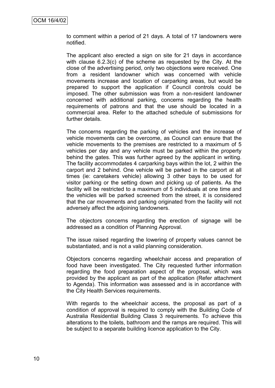to comment within a period of 21 days. A total of 17 landowners were notified.

The applicant also erected a sign on site for 21 days in accordance with clause 6.2.3(c) of the scheme as requested by the City. At the close of the advertising period, only two objections were received. One from a resident landowner which was concerned with vehicle movements increase and location of carparking areas, but would be prepared to support the application if Council controls could be imposed. The other submission was from a non-resident landowner concerned with additional parking, concerns regarding the health requirements of patrons and that the use should be located in a commercial area. Refer to the attached schedule of submissions for further details.

The concerns regarding the parking of vehicles and the increase of vehicle movements can be overcome, as Council can ensure that the vehicle movements to the premises are restricted to a maximum of 5 vehicles per day and any vehicle must be parked within the property behind the gates. This was further agreed by the applicant in writing. The facility accommodates 4 carparking bays within the lot, 2 within the carport and 2 behind. One vehicle will be parked in the carport at all times (ie: caretakers vehicle) allowing 3 other bays to be used for visitor parking or the setting down and picking up of patients. As the facility will be restricted to a maximum of 5 individuals at one time and the vehicles will be parked screened from the street, it is considered that the car movements and parking originated from the facility will not adversely affect the adjoining landowners.

The objectors concerns regarding the erection of signage will be addressed as a condition of Planning Approval.

The issue raised regarding the lowering of property values cannot be substantiated, and is not a valid planning consideration.

Objectors concerns regarding wheelchair access and preparation of food have been investigated. The City requested further information regarding the food preparation aspect of the proposal, which was provided by the applicant as part of the application (Refer attachment to Agenda). This information was assessed and is in accordance with the City Health Services requirements.

With regards to the wheelchair access, the proposal as part of a condition of approval is required to comply with the Building Code of Australia Residential Building Class 3 requirements. To achieve this alterations to the toilets, bathroom and the ramps are required. This will be subject to a separate building licence application to the City.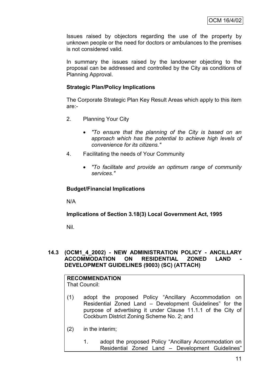Issues raised by objectors regarding the use of the property by unknown people or the need for doctors or ambulances to the premises is not considered valid.

In summary the issues raised by the landowner objecting to the proposal can be addressed and controlled by the City as conditions of Planning Approval.

## **Strategic Plan/Policy Implications**

The Corporate Strategic Plan Key Result Areas which apply to this item are:-

- 2. Planning Your City
	- *"To ensure that the planning of the City is based on an approach which has the potential to achieve high levels of convenience for its citizens."*
- 4. Facilitating the needs of Your Community
	- *"To facilitate and provide an optimum range of community services."*

## **Budget/Financial Implications**

N/A

#### **Implications of Section 3.18(3) Local Government Act, 1995**

Nil.

#### **14.3 (OCM1\_4\_2002) - NEW ADMINISTRATION POLICY - ANCILLARY ACCOMMODATION ON RESIDENTIAL ZONED LAND DEVELOPMENT GUIDELINES (9003) (SC) (ATTACH)**

|     | <b>RECOMMENDATION</b><br>That Council: |                                                                                                                   |  |  |  |
|-----|----------------------------------------|-------------------------------------------------------------------------------------------------------------------|--|--|--|
| (1) |                                        | adopt the proposed Policy "Ancillary Accommodation on<br>Residential Zoned Land – Development Guidelines" for the |  |  |  |
|     |                                        | purpose of advertising it under Clause 11.1.1 of the City of                                                      |  |  |  |

Cockburn District Zoning Scheme No. 2; and

- (2) in the interim;
	- 1. adopt the proposed Policy "Ancillary Accommodation on Residential Zoned Land – Development Guidelines"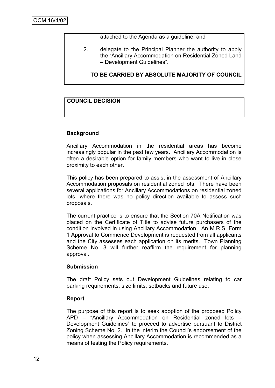attached to the Agenda as a guideline; and

2. delegate to the Principal Planner the authority to apply the "Ancillary Accommodation on Residential Zoned Land – Development Guidelines".

**TO BE CARRIED BY ABSOLUTE MAJORITY OF COUNCIL**

## **COUNCIL DECISION**

#### **Background**

Ancillary Accommodation in the residential areas has become increasingly popular in the past few years. Ancillary Accommodation is often a desirable option for family members who want to live in close proximity to each other.

This policy has been prepared to assist in the assessment of Ancillary Accommodation proposals on residential zoned lots. There have been several applications for Ancillary Accommodations on residential zoned lots, where there was no policy direction available to assess such proposals.

The current practice is to ensure that the Section 70A Notification was placed on the Certificate of Title to advise future purchasers of the condition involved in using Ancillary Accommodation. An M.R.S. Form 1 Approval to Commence Development is requested from all applicants and the City assesses each application on its merits. Town Planning Scheme No. 3 will further reaffirm the requirement for planning approval.

#### **Submission**

The draft Policy sets out Development Guidelines relating to car parking requirements, size limits, setbacks and future use.

#### **Report**

The purpose of this report is to seek adoption of the proposed Policy APD – "Ancillary Accommodation on Residential zoned lots – Development Guidelines" to proceed to advertise pursuant to District Zoning Scheme No. 2. In the interim the Council"s endorsement of the policy when assessing Ancillary Accommodation is recommended as a means of testing the Policy requirements.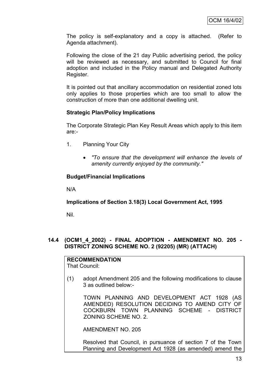The policy is self-explanatory and a copy is attached. (Refer to Agenda attachment).

Following the close of the 21 day Public advertising period, the policy will be reviewed as necessary, and submitted to Council for final adoption and included in the Policy manual and Delegated Authority Register.

It is pointed out that ancillary accommodation on residential zoned lots only applies to those properties which are too small to allow the construction of more than one additional dwelling unit.

#### **Strategic Plan/Policy Implications**

The Corporate Strategic Plan Key Result Areas which apply to this item are:-

- 1. Planning Your City
	- *"To ensure that the development will enhance the levels of amenity currently enjoyed by the community."*

## **Budget/Financial Implications**

N/A

**Implications of Section 3.18(3) Local Government Act, 1995**

Nil.

#### **14.4 (OCM1\_4\_2002) - FINAL ADOPTION - AMENDMENT NO. 205 - DISTRICT ZONING SCHEME NO. 2 (92205) (MR) (ATTACH)**

**RECOMMENDATION** That Council:

(1) adopt Amendment 205 and the following modifications to clause 3 as outlined below:-

TOWN PLANNING AND DEVELOPMENT ACT 1928 (AS AMENDED) RESOLUTION DECIDING TO AMEND CITY OF COCKBURN TOWN PLANNING SCHEME - DISTRICT ZONING SCHEME NO. 2.

AMENDMENT NO. 205

Resolved that Council, in pursuance of section 7 of the Town Planning and Development Act 1928 (as amended) amend the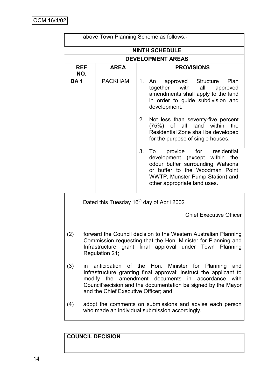|                                                                                                                                                                                                                      | above Town Planning Scheme as follows:-               |    |                                                                                                                                                                                                                         |  |  |  |
|----------------------------------------------------------------------------------------------------------------------------------------------------------------------------------------------------------------------|-------------------------------------------------------|----|-------------------------------------------------------------------------------------------------------------------------------------------------------------------------------------------------------------------------|--|--|--|
| <b>NINTH SCHEDULE</b>                                                                                                                                                                                                |                                                       |    |                                                                                                                                                                                                                         |  |  |  |
|                                                                                                                                                                                                                      | <b>DEVELOPMENT AREAS</b>                              |    |                                                                                                                                                                                                                         |  |  |  |
| <b>REF</b><br>NO.                                                                                                                                                                                                    | <b>AREA</b>                                           |    | <b>PROVISIONS</b>                                                                                                                                                                                                       |  |  |  |
| <b>DA1</b>                                                                                                                                                                                                           | <b>PACKHAM</b>                                        | 1. | An<br>approved<br><b>Structure</b><br>Plan<br>together<br>with<br>all<br>approved<br>amendments shall apply to the land<br>in order to guide subdivision and<br>development.                                            |  |  |  |
|                                                                                                                                                                                                                      |                                                       | 2. | Not less than seventy-five percent<br>$(75%)$ of all land<br>the<br>within<br>Residential Zone shall be developed<br>for the purpose of single houses.                                                                  |  |  |  |
|                                                                                                                                                                                                                      |                                                       | 3. | provide for residential<br>To<br>development (except within the<br>odour buffer surrounding Watsons<br>or buffer to the Woodman Point<br>WWTP, Munster Pump Station) and<br>other appropriate land uses.                |  |  |  |
|                                                                                                                                                                                                                      | Dated this Tuesday 16 <sup>th</sup> day of April 2002 |    |                                                                                                                                                                                                                         |  |  |  |
|                                                                                                                                                                                                                      |                                                       |    | <b>Chief Executive Officer</b>                                                                                                                                                                                          |  |  |  |
| forward the Council decision to the Western Australian Planning<br>(2)<br>Commission requesting that the Hon. Minister for Planning and<br>Infrastructure grant final approval under Town Planning<br>Regulation 21; |                                                       |    |                                                                                                                                                                                                                         |  |  |  |
| (3)<br>modify the amendment documents<br>and the Chief Executive Officer; and                                                                                                                                        |                                                       |    | in anticipation of the Hon. Minister for Planning<br>and<br>Infrastructure granting final approval; instruct the applicant to<br>in accordance<br>with<br>Council'secision and the documentation be signed by the Mayor |  |  |  |
| (4)                                                                                                                                                                                                                  |                                                       |    | adopt the comments on submissions and advise each person<br>who made an individual submission accordingly.                                                                                                              |  |  |  |

**COUNCIL DECISION**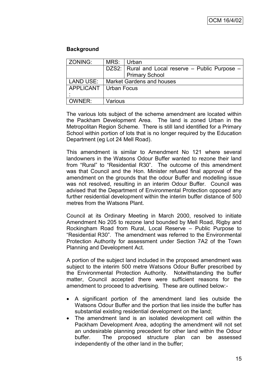#### **Background**

| ZONING:   | MRS:                             | Urban                                            |  |  |
|-----------|----------------------------------|--------------------------------------------------|--|--|
|           |                                  | DZS2: Rural and Local reserve - Public Purpose - |  |  |
|           |                                  | <b>Primary School</b>                            |  |  |
| LAND USE: | <b>Market Gardens and houses</b> |                                                  |  |  |
|           | APPLICANT   Urban Focus          |                                                  |  |  |
|           |                                  |                                                  |  |  |
| OWNER:    | Various                          |                                                  |  |  |

The various lots subject of the scheme amendment are located within the Packham Development Area. The land is zoned Urban in the Metropolitan Region Scheme. There is still land identified for a Primary School within portion of lots that is no longer required by the Education Department (eg Lot 24 Mell Road).

This amendment is similar to Amendment No 121 where several landowners in the Watsons Odour Buffer wanted to rezone their land from "Rural" to "Residential R30". The outcome of this amendment was that Council and the Hon. Minister refused final approval of the amendment on the grounds that the odour Buffer and modelling issue was not resolved, resulting in an interim Odour Buffer. Council was advised that the Department of Environmental Protection opposed any further residential development within the interim buffer distance of 500 metres from the Watsons Plant.

Council at its Ordinary Meeting in March 2000, resolved to initiate Amendment No 205 to rezone land bounded by Mell Road, Rigby and Rockingham Road from Rural, Local Reserve – Public Purpose to "Residential R30". The amendment was referred to the Environmental Protection Authority for assessment under Section 7A2 of the Town Planning and Development Act.

A portion of the subject land included in the proposed amendment was subject to the interim 500 metre Watsons Odour Buffer prescribed by the Environmental Protection Authority. Notwithstanding the buffer matter, Council accepted there were sufficient reasons for the amendment to proceed to advertising. These are outlined below:-

- A significant portion of the amendment land lies outside the Watsons Odour Buffer and the portion that lies inside the buffer has substantial existing residential development on the land;
- The amendment land is an isolated development cell within the Packham Development Area, adopting the amendment will not set an undesirable planning precedent for other land within the Odour buffer. The proposed structure plan can be assessed independently of the other land in the buffer;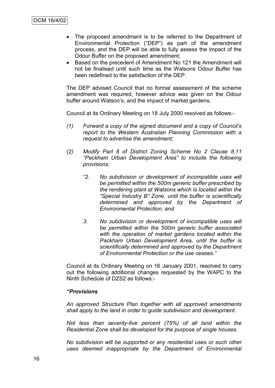- The proposed amendment is to be referred to the Department of Environmental Protection ("DEP") as part of the amendment process, and the DEP will be able to fully assess the impact of the Odour Buffer on the proposed amendment;
- Based on the precedent of Amendment No 121 the Amendment will not be finalised until such time as the Watsons Odour Buffer has been redefined to the satisfaction of the DEP.

The DEP advised Council that no formal assessment of the scheme amendment was required, however advice was given on the Odour buffer around Watson"s, and the impact of market gardens.

Council at its Ordinary Meeting on 18 July 2000 resolved as follows:-

- *(1) Forward a copy of the signed document and a copy of Council"s report to the Western Australian Planning Commission with a request to advertise the amendment;*
- *(2) Modify Part 8 of District Zoning Scheme No 2 Clause 8.11 "Packham Urban Development Area" to include the following provisions:*
	- *"2. No subdivision or development of incompatible uses will be permitted within the 500m generic buffer prescribed by the rendering plant at Watsons which is located within the "Special Industry B" Zone, until the buffer is scientifically determined and approved by the Department of Environmental Protection, and*
	- *3. No subdivision or development of incompatible uses will be permitted within the 500m generic buffer associated with the operation of market gardens located within the Packham Urban Development Area, until the buffer is scientifically determined and approved by the Department of Environmental Protection or the use ceases."*

Council at its Ordinary Meeting on 16 January 2001, resolved to carry out the following additional changes requested by the WAPC to the Ninth Schedule of DZS2 as follows:-

#### *"Provisions*

*An approved Structure Plan together with all approved amendments shall apply to the land in order to guide subdivision and development.*

*Not less than seventy-five percent (75%) of all land within the Residential Zone shall be developed for the purpose of single houses.*

*No subdivision will be supported or any residential uses or such other uses deemed inappropriate by the Department of Environmental*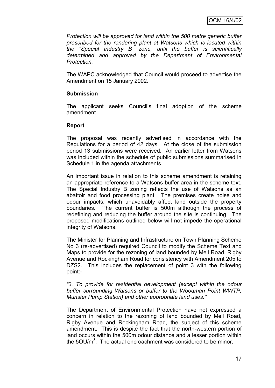*Protection will be approved for land within the 500 metre generic buffer prescribed for the rendering plant at Watsons which is located within the "Special Industry B" zone, until the buffer is scientifically determined and approved by the Department of Environmental Protection."*

The WAPC acknowledged that Council would proceed to advertise the Amendment on 15 January 2002.

#### **Submission**

The applicant seeks Council"s final adoption of the scheme amendment.

#### **Report**

The proposal was recently advertised in accordance with the Regulations for a period of 42 days. At the close of the submission period 13 submissions were received. An earlier letter from Watsons was included within the schedule of public submissions summarised in Schedule 1 in the agenda attachments.

An important issue in relation to this scheme amendment is retaining an appropriate reference to a Watsons buffer area in the scheme text. The Special Industry B zoning reflects the use of Watsons as an abattoir and food processing plant. The premises create noise and odour impacts, which unavoidably affect land outside the property boundaries. The current buffer is 500m although the process of redefining and reducing the buffer around the site is continuing. The proposed modifications outlined below will not impede the operational integrity of Watsons.

The Minister for Planning and Infrastructure on Town Planning Scheme No 3 (re-advertised) required Council to modify the Scheme Text and Maps to provide for the rezoning of land bounded by Mell Road, Rigby Avenue and Rockingham Road for consistency with Amendment 205 to DZS2. This includes the replacement of point 3 with the following point:-

*"3. To provide for residential development (except within the odour buffer surrounding Watsons or buffer to the Woodman Point WWTP, Munster Pump Station) and other appropriate land uses."*

The Department of Environmental Protection have not expressed a concern in relation to the rezoning of land bounded by Mell Road, Rigby Avenue and Rockingham Road, the subject of this scheme amendment. This is despite the fact that the north-western portion of land occurs within the 500m odour distance and a lesser portion within the  $50$ U/m<sup>3</sup>. The actual encroachment was considered to be minor.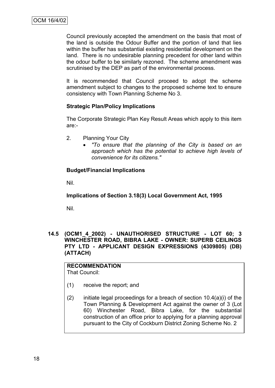Council previously accepted the amendment on the basis that most of the land is outside the Odour Buffer and the portion of land that lies within the buffer has substantial existing residential development on the land. There is no undesirable planning precedent for other land within the odour buffer to be similarly rezoned. The scheme amendment was scrutinised by the DEP as part of the environmental process.

It is recommended that Council proceed to adopt the scheme amendment subject to changes to the proposed scheme text to ensure consistency with Town Planning Scheme No 3.

## **Strategic Plan/Policy Implications**

The Corporate Strategic Plan Key Result Areas which apply to this item are:-

- 2. Planning Your City
	- *"To ensure that the planning of the City is based on an approach which has the potential to achieve high levels of convenience for its citizens."*

## **Budget/Financial Implications**

Nil.

**Implications of Section 3.18(3) Local Government Act, 1995**

Nil.

#### **14.5 (OCM1\_4\_2002) - UNAUTHORISED STRUCTURE - LOT 60; 3 WINCHESTER ROAD, BIBRA LAKE - OWNER: SUPERB CEILINGS PTY LTD - APPLICANT DESIGN EXPRESSIONS (4309805) (DB) (ATTACH)**

#### **RECOMMENDATION** That Council:

- (1) receive the report; and
- (2) initiate legal proceedings for a breach of section  $10.4(a)(i)$  of the Town Planning & Development Act against the owner of 3 (Lot 60) Winchester Road, Bibra Lake, for the substantial construction of an office prior to applying for a planning approval pursuant to the City of Cockburn District Zoning Scheme No. 2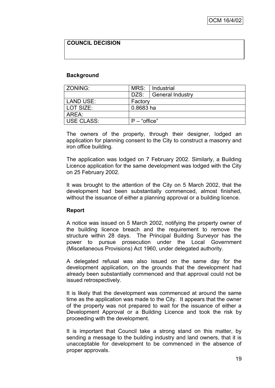# **COUNCIL DECISION**

#### **Background**

| ZONING:           | MRS:           | Industrial              |  |
|-------------------|----------------|-------------------------|--|
|                   | DZS:           | <b>General Industry</b> |  |
| LAND USE:         | Factory        |                         |  |
| LOT SIZE:         | 0.8683 ha      |                         |  |
| AREA:             |                |                         |  |
| <b>USE CLASS:</b> | $P$ – "office" |                         |  |

The owners of the property, through their designer, lodged an application for planning consent to the City to construct a masonry and iron office building.

The application was lodged on 7 February 2002. Similarly, a Building Licence application for the same development was lodged with the City on 25 February 2002.

It was brought to the attention of the City on 5 March 2002, that the development had been substantially commenced, almost finished, without the issuance of either a planning approval or a building licence.

#### **Report**

A notice was issued on 5 March 2002, notifying the property owner of the building licence breach and the requirement to remove the structure within 28 days. The Principal Building Surveyor has the power to pursue prosecution under the Local Government (Miscellaneous Provisions) Act 1960, under delegated authority.

A delegated refusal was also issued on the same day for the development application, on the grounds that the development had already been substantially commenced and that approval could not be issued retrospectively.

It is likely that the development was commenced at around the same time as the application was made to the City. It appears that the owner of the property was not prepared to wait for the issuance of either a Development Approval or a Building Licence and took the risk by proceeding with the development.

It is important that Council take a strong stand on this matter, by sending a message to the building industry and land owners, that it is unacceptable for development to be commenced in the absence of proper approvals.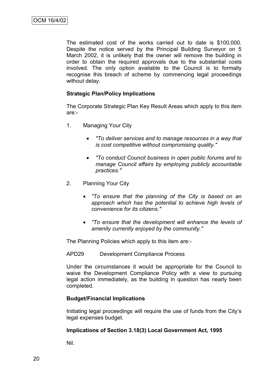The estimated cost of the works carried out to date is \$100,000. Despite the notice served by the Principal Building Surveyor on 5 March 2002, it is unlikely that the owner will remove the building in order to obtain the required approvals due to the substantial costs involved. The only option available to the Council is to formally recognise this breach of scheme by commencing legal proceedings without delay.

#### **Strategic Plan/Policy Implications**

The Corporate Strategic Plan Key Result Areas which apply to this item are:-

- 1. Managing Your City
	- *"To deliver services and to manage resources in a way that is cost competitive without compromising quality."*
	- *"To conduct Council business in open public forums and to manage Council affairs by employing publicly accountable practices."*
- 2. Planning Your City
	- *"To ensure that the planning of the City is based on an approach which has the potential to achieve high levels of convenience for its citizens."*
	- *"To ensure that the development will enhance the levels of amenity currently enjoyed by the community."*

The Planning Policies which apply to this item are:-

APD29 Development Compliance Process

Under the circumstances it would be appropriate for the Council to waive the Development Compliance Policy with a view to pursuing legal action immediately, as the building in question has nearly been completed.

#### **Budget/Financial Implications**

Initiating legal proceedings will require the use of funds from the City"s legal expenses budget.

#### **Implications of Section 3.18(3) Local Government Act, 1995**

Nil.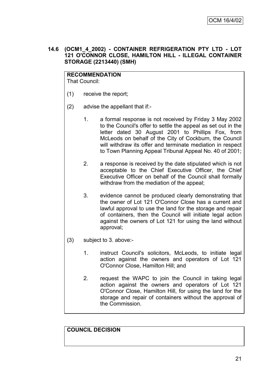**14.6 (OCM1\_4\_2002) - CONTAINER REFRIGERATION PTY LTD - LOT 121 O'CONNOR CLOSE, HAMILTON HILL - ILLEGAL CONTAINER STORAGE (2213440) (SMH)**

**RECOMMENDATION** That Council:

- (1) receive the report;
- (2) advise the appellant that if:-
	- 1. a formal response is not received by Friday 3 May 2002 to the Council's offer to settle the appeal as set out in the letter dated 30 August 2001 to Phillips Fox, from McLeods on behalf of the City of Cockburn, the Council will withdraw its offer and terminate mediation in respect to Town Planning Appeal Tribunal Appeal No. 40 of 2001;
	- 2. a response is received by the date stipulated which is not acceptable to the Chief Executive Officer, the Chief Executive Officer on behalf of the Council shall formally withdraw from the mediation of the appeal;
	- 3. evidence cannot be produced clearly demonstrating that the owner of Lot 121 O'Connor Close has a current and lawful approval to use the land for the storage and repair of containers, then the Council will initiate legal action against the owners of Lot 121 for using the land without approval;
- (3) subject to 3. above:-
	- 1. instruct Council's solicitors, McLeods, to initiate legal action against the owners and operators of Lot 121 O'Connor Close, Hamilton Hill; and
	- 2. request the WAPC to join the Council in taking legal action against the owners and operators of Lot 121 O'Connor Close, Hamilton Hill, for using the land for the storage and repair of containers without the approval of the Commission.

**COUNCIL DECISION**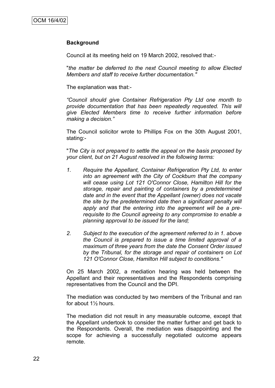#### **Background**

Council at its meeting held on 19 March 2002, resolved that:-

"*the matter be deferred to the next Council meeting to allow Elected Members and staff to receive further documentation."*

The explanation was that:-

*"Council should give Container Refrigeration Pty Ltd one month to provide documentation that has been repeatedly requested. This will give Elected Members time to receive further information before making a decision."*

The Council solicitor wrote to Phillips Fox on the 30th August 2001, stating:-

"*The City is not prepared to settle the appeal on the basis proposed by your client, but on 21 August resolved in the following terms:*

- *1. Require the Appellant, Container Refrigeration Pty Ltd, to enter into an agreement with the City of Cockburn that the company will cease using Lot 121 O'Connor Close, Hamilton Hill for the storage, repair and painting of containers by a predetermined date and in the event that the Appellant (owner) does not vacate the site by the predetermined date then a significant penalty will apply and that the entering into the agreement will be a prerequisite to the Council agreeing to any compromise to enable a planning approval to be issued for the land;*
- *2. Subject to the execution of the agreement referred to in 1. above the Council is prepared to issue a time limited approval of a maximum of three years from the date the Consent Order issued by the Tribunal, for the storage and repair of containers on Lot 121 O'Connor Close, Hamilton Hill subject to conditions."*

On 25 March 2002, a mediation hearing was held between the Appellant and their representatives and the Respondents comprising representatives from the Council and the DPI.

The mediation was conducted by two members of the Tribunal and ran for about 1½ hours.

The mediation did not result in any measurable outcome, except that the Appellant undertook to consider the matter further and get back to the Respondents. Overall, the mediation was disappointing and the scope for achieving a successfully negotiated outcome appears remote.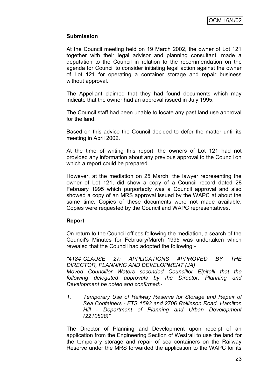#### **Submission**

At the Council meeting held on 19 March 2002, the owner of Lot 121 together with their legal advisor and planning consultant, made a deputation to the Council in relation to the recommendation on the agenda for Council to consider initiating legal action against the owner of Lot 121 for operating a container storage and repair business without approval.

The Appellant claimed that they had found documents which may indicate that the owner had an approval issued in July 1995.

The Council staff had been unable to locate any past land use approval for the land.

Based on this advice the Council decided to defer the matter until its meeting in April 2002.

At the time of writing this report, the owners of Lot 121 had not provided any information about any previous approval to the Council on which a report could be prepared.

However, at the mediation on 25 March, the lawyer representing the owner of Lot 121, did show a copy of a Council record dated 28 February 1995 which purportedly was a Council approval and also showed a copy of an MRS approval issued by the WAPC at about the same time. Copies of these documents were not made available. Copies were requested by the Council and WAPC representatives.

#### **Report**

On return to the Council offices following the mediation, a search of the Council's Minutes for February/March 1995 was undertaken which revealed that the Council had adopted the following:-

*"4184 CLAUSE 27: APPLICATIONS APPROVED BY THE DIRECTOR, PLANNING AND DEVELOPMENT (JA)*

*Moved Councillor Waters seconded Councillor Elpitelli that the following delegated approvals by the Director, Planning and Development be noted and confirmed:-*

*1. Temporary Use of Railway Reserve for Storage and Repair of Sea Containers - FTS 1593 and 2706 Rollinson Road, Hamilton Hill - Department of Planning and Urban Development (2210828)"*

The Director of Planning and Development upon receipt of an application from the Engineering Section of Westrail to use the land for the temporary storage and repair of sea containers on the Railway Reserve under the MRS forwarded the application to the WAPC for its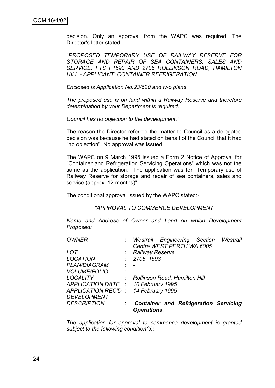decision. Only an approval from the WAPC was required. The Director's letter stated:-

"*PROPOSED TEMPORARY USE OF RAILWAY RESERVE FOR STORAGE AND REPAIR OF SEA CONTAINERS, SALES AND SERVICE, FTS F1593 AND 2706 ROLLINSON ROAD, HAMILTON HILL - APPLICANT: CONTAINER REFRIGERATION*

*Enclosed is Application No.23/620 and two plans.*

*The proposed use is on land within a Railway Reserve and therefore determination by your Department is required.*

*Council has no objection to the development."*

The reason the Director referred the matter to Council as a delegated decision was because he had stated on behalf of the Council that it had "no objection". No approval was issued.

The WAPC on 9 March 1995 issued a Form 2 Notice of Approval for "Container and Refrigeration Servicing Operations" which was not the same as the application. The application was for "Temporary use of Railway Reserve for storage and repair of sea containers, sales and service (approx. 12 months)".

The conditional approval issued by the WAPC stated:-

*"APPROVAL TO COMMENCE DEVELOPMENT*

*Name and Address of Owner and Land on which Development Proposed:*

| <b>OWNER</b>                        |                             |                        | : Westrail Engineering Section               | Westrail |
|-------------------------------------|-----------------------------|------------------------|----------------------------------------------|----------|
|                                     |                             |                        | Centre WEST PERTH WA 6005                    |          |
| LOT                                 |                             | <b>Railway Reserve</b> |                                              |          |
| <b>LOCATION</b>                     |                             | . 2706 1593            |                                              |          |
| <b>PLAN/DIAGRAM</b>                 | $\mathcal{L} = \mathcal{L}$ |                        |                                              |          |
| <b>VOLUME/FOLIO</b>                 | $\mathcal{I} = \mathcal{I}$ |                        |                                              |          |
| <b>LOCALITY</b>                     |                             |                        | Rollinson Road, Hamilton Hill                |          |
| APPLICATION DATE : 10 February 1995 |                             |                        |                                              |          |
| APPLICATION REC'D: 14 February 1995 |                             |                        |                                              |          |
| <b>DEVELOPMENT</b>                  |                             |                        |                                              |          |
| <b>DESCRIPTION</b>                  |                             |                        | <b>Container and Refrigeration Servicing</b> |          |
|                                     |                             | <b>Operations.</b>     |                                              |          |

*The application for approval to commence development is granted subject to the following condition(s):*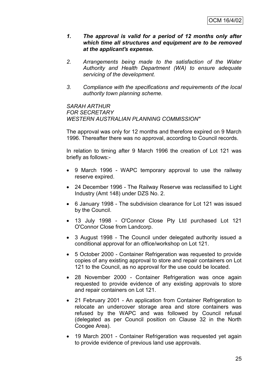- *1. The approval is valid for a period of 12 months only after which time all structures and equipment are to be removed at the applicant's expense.*
- *2. Arrangements being made to the satisfaction of the Water Authority and Health Department (WA) to ensure adequate servicing of the development.*
- *3. Compliance with the specifications and requirements of the local authority town planning scheme.*

*SARAH ARTHUR FOR SECRETARY WESTERN AUSTRALIAN PLANNING COMMISSION"*

The approval was only for 12 months and therefore expired on 9 March 1996. Thereafter there was no approval, according to Council records.

In relation to timing after 9 March 1996 the creation of Lot 121 was briefly as follows:-

- 9 March 1996 WAPC temporary approval to use the railway reserve expired.
- 24 December 1996 The Railway Reserve was reclassified to Light Industry (Amt 148) under DZS No. 2.
- 6 January 1998 The subdivision clearance for Lot 121 was issued by the Council.
- 13 July 1998 O'Connor Close Pty Ltd purchased Lot 121 O'Connor Close from Landcorp.
- 3 August 1998 The Council under delegated authority issued a conditional approval for an office/workshop on Lot 121.
- 5 October 2000 Container Refrigeration was requested to provide copies of any existing approval to store and repair containers on Lot 121 to the Council, as no approval for the use could be located.
- 28 November 2000 Container Refrigeration was once again requested to provide evidence of any existing approvals to store and repair containers on Lot 121.
- 21 February 2001 An application from Container Refrigeration to relocate an undercover storage area and store containers was refused by the WAPC and was followed by Council refusal (delegated as per Council position on Clause 32 in the North Coogee Area).
- 19 March 2001 Container Refrigeration was requested yet again to provide evidence of previous land use approvals.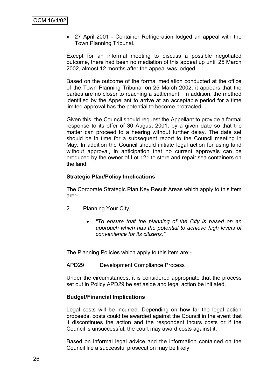27 April 2001 - Container Refrigeration lodged an appeal with the Town Planning Tribunal.

Except for an informal meeting to discuss a possible negotiated outcome, there had been no mediation of this appeal up until 25 March 2002, almost 12 months after the appeal was lodged.

Based on the outcome of the formal mediation conducted at the office of the Town Planning Tribunal on 25 March 2002, it appears that the parties are no closer to reaching a settlement. In addition, the method identified by the Appellant to arrive at an acceptable period for a time limited approval has the potential to become protracted.

Given this, the Council should request the Appellant to provide a formal response to its offer of 30 August 2001, by a given date so that the matter can proceed to a hearing without further delay. The date set should be in time for a subsequent report to the Council meeting in May. In addition the Council should initiate legal action for using land without approval, in anticipation that no current approvals can be produced by the owner of Lot 121 to store and repair sea containers on the land.

#### **Strategic Plan/Policy Implications**

The Corporate Strategic Plan Key Result Areas which apply to this item are:-

- 2. Planning Your City
	- *"To ensure that the planning of the City is based on an approach which has the potential to achieve high levels of convenience for its citizens."*

The Planning Policies which apply to this item are:-

APD29 Development Compliance Process

Under the circumstances, it is considered appropriate that the process set out in Policy APD29 be set aside and legal action be initiated.

#### **Budget/Financial Implications**

Legal costs will be incurred. Depending on how far the legal action proceeds, costs could be awarded against the Council in the event that it discontinues the action and the respondent incurs costs or if the Council is unsuccessful, the court may award costs against it.

Based on informal legal advice and the information contained on the Council file a successful prosecution may be likely.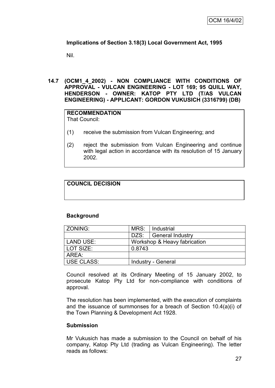# **Implications of Section 3.18(3) Local Government Act, 1995**

Nil.

#### **14.7 (OCM1\_4\_2002) - NON COMPLIANCE WITH CONDITIONS OF APPROVAL - VULCAN ENGINEERING - LOT 169; 95 QUILL WAY, HENDERSON - OWNER: KATOP PTY LTD (T/AS VULCAN ENGINEERING) - APPLICANT: GORDON VUKUSICH (3316799) (DB)**

#### **RECOMMENDATION** That Council:

(1) receive the submission from Vulcan Engineering; and

(2) reject the submission from Vulcan Engineering and continue with legal action in accordance with its resolution of 15 January 2002.

# **COUNCIL DECISION**

# **Background**

| <b>ZONING:</b> | MRS:                         | Industrial                |
|----------------|------------------------------|---------------------------|
|                | DZS:                         | General Industry          |
| LAND USE:      | Workshop & Heavy fabrication |                           |
| LOT SIZE:      | 0.8743                       |                           |
| AREA:          |                              |                           |
| USE CLASS:     |                              | <b>Industry - General</b> |

Council resolved at its Ordinary Meeting of 15 January 2002, to prosecute Katop Pty Ltd for non-compliance with conditions of approval.

The resolution has been implemented, with the execution of complaints and the issuance of summonses for a breach of Section 10.4(a)(i) of the Town Planning & Development Act 1928.

#### **Submission**

Mr Vukusich has made a submission to the Council on behalf of his company, Katop Pty Ltd (trading as Vulcan Engineering). The letter reads as follows: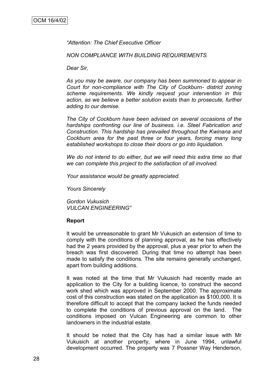*"Attention: The Chief Executive Officer*

*NON COMPLIANCE WITH BUILDING REQUIREMENTS*

*Dear Sir,*

*As you may be aware, our company has been summoned to appear in Court for non-compliance with The City of Cockburn- district zoning scheme requirements. We kindly request your intervention in this action, as we believe a better solution exists than to prosecute, further adding to our demise.*

*The City of Cockburn have been advised on several occasions of the hardships confronting our line of business. i.e. Steel Fabrication and Construction. This hardship has prevailed throughout the Kwinana and Cockburn area for the past three or four years, forcing many long established workshops to close their doors or go into liquidation.*

*We do not intend to do either, but we will need this extra time so that we can complete this project to the satisfaction of all involved.*

*Your assistance would be greatly appreciated.*

*Yours Sincerely*

*Gordon Vukusich VULCAN ENGINEERING"*

#### **Report**

It would be unreasonable to grant Mr Vukusich an extension of time to comply with the conditions of planning approval, as he has effectively had the 2 years provided by the approval, plus a year prior to when the breach was first discovered. During that time no attempt has been made to satisfy the conditions. The site remains generally unchanged, apart from building additions.

It was noted at the time that Mr Vukusich had recently made an application to the City for a building licence, to construct the second work shed which was approved in September 2000. The approximate cost of this construction was stated on the application as \$100,000. It is therefore difficult to accept that the company lacked the funds needed to complete the conditions of previous approval on the land. The conditions imposed on Vulcan Engineering are common to other landowners in the industrial estate.

It should be noted that the City has had a similar issue with Mr Vukusich at another property, where in June 1994, unlawful development occurred. The property was 7 Possner Way Henderson,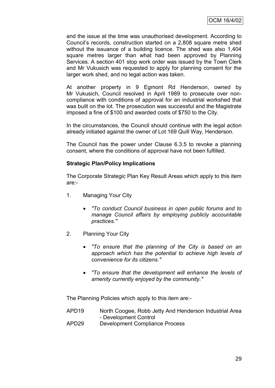and the issue at the time was unauthorised development. According to Council"s records, construction started on a 2,808 square metre shed without the issuance of a building licence. The shed was also 1,404 square metres larger than what had been approved by Planning Services. A section 401 stop work order was issued by the Town Clerk and Mr Vukusich was requested to apply for planning consent for the larger work shed, and no legal action was taken.

At another property in 9 Egmont Rd Henderson, owned by Mr Vukusich, Council resolved in April 1989 to prosecute over noncompliance with conditions of approval for an industrial workshed that was built on the lot. The prosecution was successful and the Magistrate imposed a fine of \$100 and awarded costs of \$750 to the City.

In the circumstances, the Council should continue with the legal action already initiated against the owner of Lot 169 Quill Way, Henderson.

The Council has the power under Clause 6.3.5 to revoke a planning consent, where the conditions of approval have not been fulfilled.

## **Strategic Plan/Policy Implications**

The Corporate Strategic Plan Key Result Areas which apply to this item are:-

- 1. Managing Your City
	- *"To conduct Council business in open public forums and to manage Council affairs by employing publicly accountable practices."*
- 2. Planning Your City
	- *"To ensure that the planning of the City is based on an approach which has the potential to achieve high levels of convenience for its citizens."*
	- *"To ensure that the development will enhance the levels of amenity currently enjoyed by the community."*

The Planning Policies which apply to this item are:-

- APD19 North Coogee, Robb Jetty And Henderson Industrial Area - Development Control
- APD29 Development Compliance Process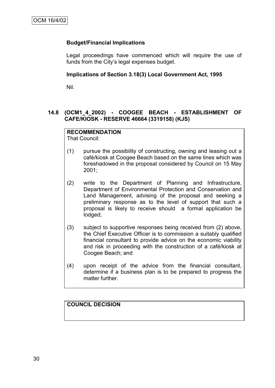#### **Budget/Financial Implications**

Legal proceedings have commenced which will require the use of funds from the City"s legal expenses budget.

#### **Implications of Section 3.18(3) Local Government Act, 1995**

Nil.

#### **14.8 (OCM1\_4\_2002) - COOGEE BEACH - ESTABLISHMENT OF CAFE/KIOSK - RESERVE 46664 (3319158) (KJS)**

#### **RECOMMENDATION**

That Council:

- (1) pursue the possibility of constructing, owning and leasing out a café/kiosk at Coogee Beach based on the same lines which was foreshadowed in the proposal considered by Council on 15 May 2001;
- (2) write to the Department of Planning and Infrastructure, Department of Environmental Protection and Conservation and Land Management, advising of the proposal and seeking a preliminary response as to the level of support that such a proposal is likely to receive should a formal application be lodged;
- (3) subject to supportive responses being received from (2) above, the Chief Executive Officer is to commission a suitably qualified financial consultant to provide advice on the economic viability and risk in proceeding with the construction of a café/kiosk at Coogee Beach; and
- (4) upon receipt of the advice from the financial consultant, determine if a business plan is to be prepared to progress the matter further.

#### **COUNCIL DECISION**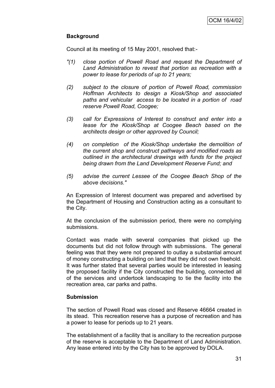# **Background**

Council at its meeting of 15 May 2001, resolved that:-

- *"(1) close portion of Powell Road and request the Department of Land Administration to revest that portion as recreation with a power to lease for periods of up to 21 years;*
- *(2) subject to the closure of portion of Powell Road, commission Hoffman Architects to design a Kiosk/Shop and associated paths and vehicular access to be located in a portion of road reserve Powell Road, Coogee;*
- *(3) call for Expressions of Interest to construct and enter into a lease for the Kiosk/Shop at Coogee Beach based on the architects design or other approved by Council;*
- *(4) on completion of the Kiosk/Shop undertake the demolition of the current shop and construct pathways and modified roads as outlined in the architectural drawings with funds for the project being drawn from the Land Development Reserve Fund; and*
- *(5) advise the current Lessee of the Coogee Beach Shop of the above decisions."*

An Expression of Interest document was prepared and advertised by the Department of Housing and Construction acting as a consultant to the City.

At the conclusion of the submission period, there were no complying submissions.

Contact was made with several companies that picked up the documents but did not follow through with submissions. The general feeling was that they were not prepared to outlay a substantial amount of money constructing a building on land that they did not own freehold. It was further stated that several parties would be interested in leasing the proposed facility if the City constructed the building, connected all of the services and undertook landscaping to tie the facility into the recreation area, car parks and paths.

### **Submission**

The section of Powell Road was closed and Reserve 46664 created in its stead. This recreation reserve has a purpose of recreation and has a power to lease for periods up to 21 years.

The establishment of a facility that is ancillary to the recreation purpose of the reserve is acceptable to the Department of Land Administration. Any lease entered into by the City has to be approved by DOLA.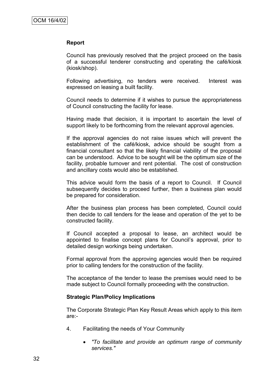### **Report**

Council has previously resolved that the project proceed on the basis of a successful tenderer constructing and operating the café/kiosk (kiosk/shop).

Following advertising, no tenders were received. Interest was expressed on leasing a built facility.

Council needs to determine if it wishes to pursue the appropriateness of Council constructing the facility for lease.

Having made that decision, it is important to ascertain the level of support likely to be forthcoming from the relevant approval agencies.

If the approval agencies do not raise issues which will prevent the establishment of the café/kiosk, advice should be sought from a financial consultant so that the likely financial viability of the proposal can be understood. Advice to be sought will be the optimum size of the facility, probable turnover and rent potential. The cost of construction and ancillary costs would also be established.

This advice would form the basis of a report to Council. If Council subsequently decides to proceed further, then a business plan would be prepared for consideration.

After the business plan process has been completed, Council could then decide to call tenders for the lease and operation of the yet to be constructed facility.

If Council accepted a proposal to lease, an architect would be appointed to finalise concept plans for Council"s approval, prior to detailed design workings being undertaken.

Formal approval from the approving agencies would then be required prior to calling tenders for the construction of the facility.

The acceptance of the tender to lease the premises would need to be made subject to Council formally proceeding with the construction.

#### **Strategic Plan/Policy Implications**

The Corporate Strategic Plan Key Result Areas which apply to this item are:-

- 4. Facilitating the needs of Your Community
	- *"To facilitate and provide an optimum range of community services."*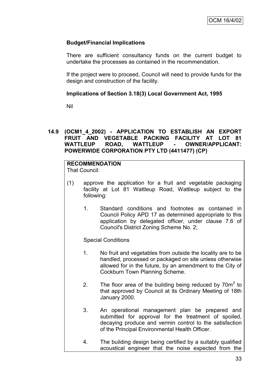# **Budget/Financial Implications**

There are sufficient consultancy funds on the current budget to undertake the processes as contained in the recommendation.

If the project were to proceed, Council will need to provide funds for the design and construction of the facility.

## **Implications of Section 3.18(3) Local Government Act, 1995**

Nil

## **14.9 (OCM1\_4\_2002) - APPLICATION TO ESTABLISH AN EXPORT FRUIT AND VEGETABLE PACKING FACILITY AT LOT 81 WATTLEUP ROAD, WATTLEUP - OWNER/APPLICANT: POWERWIDE CORPORATION PTY LTD (4411477) (CP)**

# **RECOMMENDATION**

That Council:

- (1) approve the application for a fruit and vegetable packaging facility at Lot 81 Wattleup Road, Wattleup subject to the following:
	- 1. Standard conditions and footnotes as contained in Council Policy APD 17 as determined appropriate to this application by delegated officer, under clause 7.6 of Council's District Zoning Scheme No. 2;

### Special Conditions

- 1. No fruit and vegetables from outside the locality are to be handled, processed or packaged on site unless otherwise allowed for in the future, by an amendment to the City of Cockburn Town Planning Scheme.
- 2. The floor area of the building being reduced by  $70m^2$  to that approved by Council at its Ordinary Meeting of 18th January 2000.
- 3. An operational management plan be prepared and submitted for approval for the treatment of spoiled, decaying produce and vermin control to the satisfaction of the Principal Environmental Health Officer.
- 4. The building design being certified by a suitably qualified acoustical engineer that the noise expected from the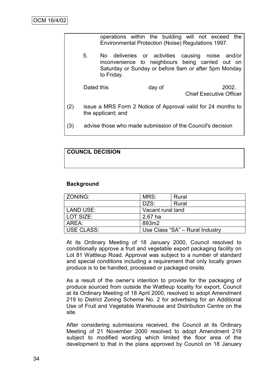|     |                    | operations within the building will not exceed<br>Environmental Protection (Noise) Regulations 1997. | the                                                                                                                                                          |
|-----|--------------------|------------------------------------------------------------------------------------------------------|--------------------------------------------------------------------------------------------------------------------------------------------------------------|
|     | 5.<br>to Friday.   |                                                                                                      | No deliveries or activities causing noise and/or<br>inconvenience to neighbours being carried out on<br>Saturday or Sunday or before 9am or after 5pm Monday |
|     | Dated this         | day of                                                                                               | 2002.<br><b>Chief Executive Officer</b>                                                                                                                      |
| (2) | the applicant; and |                                                                                                      | issue a MRS Form 2 Notice of Approval valid for 24 months to                                                                                                 |
| (3) |                    | advise those who made submission of the Council's decision                                           |                                                                                                                                                              |

# **COUNCIL DECISION**

### **Background**

| ZONING:           | MRS:              | Rural                           |  |
|-------------------|-------------------|---------------------------------|--|
|                   | DZS:              | Rural                           |  |
| LAND USE:         | Vacant rural land |                                 |  |
| LOT SIZE:         | $2.67$ ha         |                                 |  |
| AREA:             | 893m2             |                                 |  |
| <b>USE CLASS:</b> |                   | Use Class "SA" - Rural Industry |  |

At its Ordinary Meeting of 18 January 2000, Council resolved to conditionally approve a fruit and vegetable export packaging facility on Lot 81 Wattleup Road. Approval was subject to a number of standard and special conditions including a requirement that only locally grown produce is to be handled, processed or packaged onsite.

As a result of the owner"s intention to provide for the packaging of produce sourced from outside the Wattleup locality for export, Council at its Ordinary Meeting of 18 April 2000, resolved to adopt Amendment 219 to District Zoning Scheme No. 2 for advertising for an Additional Use of Fruit and Vegetable Warehouse and Distribution Centre on the site.

After considering submissions received, the Council at its Ordinary Meeting of 21 November 2000 resolved to adopt Amendment 219 subject to modified wording which limited the floor area of the development to that in the plans approved by Council on 18 January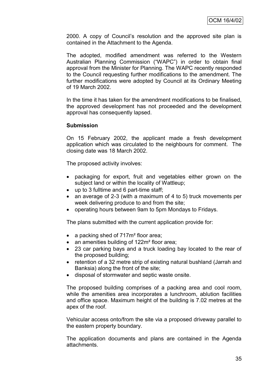2000. A copy of Council"s resolution and the approved site plan is contained in the Attachment to the Agenda.

The adopted, modified amendment was referred to the Western Australian Planning Commission ("WAPC") in order to obtain final approval from the Minister for Planning. The WAPC recently responded to the Council requesting further modifications to the amendment. The further modifications were adopted by Council at its Ordinary Meeting of 19 March 2002.

In the time it has taken for the amendment modifications to be finalised, the approved development has not proceeded and the development approval has consequently lapsed.

#### **Submission**

On 15 February 2002, the applicant made a fresh development application which was circulated to the neighbours for comment. The closing date was 18 March 2002.

The proposed activity involves:

- packaging for export, fruit and vegetables either grown on the subject land or within the locality of Wattleup;
- up to 3 fulltime and 6 part-time staff;
- an average of 2-3 (with a maximum of 4 to 5) truck movements per week delivering produce to and from the site;
- operating hours between 9am to 5pm Mondays to Fridays.

The plans submitted with the current application provide for:

- a packing shed of 717m<sup>2</sup> floor area;
- an amenities building of 122m<sup>2</sup> floor area;
- 23 car parking bays and a truck loading bay located to the rear of the proposed building;
- retention of a 32 metre strip of existing natural bushland (Jarrah and Banksia) along the front of the site;
- disposal of stormwater and septic waste onsite.

The proposed building comprises of a packing area and cool room, while the amenities area incorporates a lunchroom, ablution facilities and office space. Maximum height of the building is 7.02 metres at the apex of the roof.

Vehicular access onto/from the site via a proposed driveway parallel to the eastern property boundary.

The application documents and plans are contained in the Agenda attachments.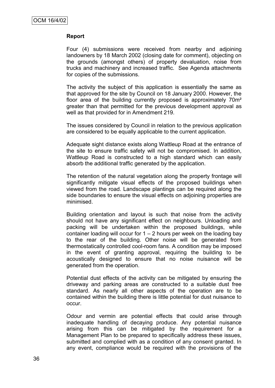## **Report**

Four (4) submissions were received from nearby and adjoining landowners by 18 March 2002 (closing date for comment), objecting on the grounds (amongst others) of property devaluation, noise from trucks and machinery and increased traffic. See Agenda attachments for copies of the submissions.

The activity the subject of this application is essentially the same as that approved for the site by Council on 18 January 2000. However, the floor area of the building currently proposed is approximately 70m² greater than that permitted for the previous development approval as well as that provided for in Amendment 219.

The issues considered by Council in relation to the previous application are considered to be equally applicable to the current application.

Adequate sight distance exists along Wattleup Road at the entrance of the site to ensure traffic safety will not be compromised. In addition, Wattleup Road is constructed to a high standard which can easily absorb the additional traffic generated by the application.

The retention of the natural vegetation along the property frontage will significantly mitigate visual effects of the proposed buildings when viewed from the road. Landscape plantings can be required along the side boundaries to ensure the visual effects on adjoining properties are minimised.

Building orientation and layout is such that noise from the activity should not have any significant effect on neighbours. Unloading and packing will be undertaken within the proposed buildings, while container loading will occur for  $1 - 2$  hours per week on the loading bay to the rear of the building. Other noise will be generated from thermostatically controlled cool-room fans. A condition may be imposed in the event of granting approval, requiring the building to be acoustically designed to ensure that no noise nuisance will be generated from the operation.

Potential dust effects of the activity can be mitigated by ensuring the driveway and parking areas are constructed to a suitable dust free standard. As nearly all other aspects of the operation are to be contained within the building there is little potential for dust nuisance to occur.

Odour and vermin are potential effects that could arise through inadequate handling of decaying produce. Any potential nuisance arising from this can be mitigated by the requirement for a Management Plan to be prepared to specifically address these issues, submitted and complied with as a condition of any consent granted. In any event, compliance would be required with the provisions of the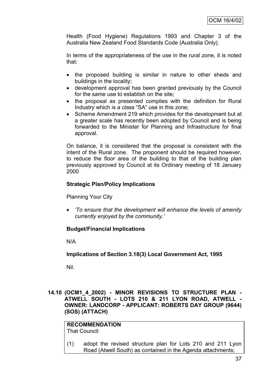Health (Food Hygiene) Regulations 1993 and Chapter 3 of the Australia New Zealand Food Standards Code (Australia Only).

In terms of the appropriateness of the use in the rural zone, it is noted that:

- the proposed building is similar in nature to other sheds and buildings in the locality;
- development approval has been granted previously by the Council for the same use to establish on the site;
- the proposal as presented complies with the definition for Rural Industry which is a class "SA" use in this zone;
- Scheme Amendment 219 which provides for the development but at a greater scale has recently been adopted by Council and is being forwarded to the Minister for Planning and Infrastructure for final approval.

On balance, it is considered that the proposal is consistent with the intent of the Rural zone. The proponent should be required however, to reduce the floor area of the building to that of the building plan previously approved by Council at its Ordinary meeting of 18 January 2000

## **Strategic Plan/Policy Implications**

Planning Your City

 *"To ensure that the development will enhance the levels of amenity currently enjoyed by the community."*

### **Budget/Financial Implications**

N/A

### **Implications of Section 3.18(3) Local Government Act, 1995**

Nil.

**14.10 (OCM1\_4\_2002) - MINOR REVISIONS TO STRUCTURE PLAN - ATWELL SOUTH - LOTS 210 & 211 LYON ROAD, ATWELL - OWNER: LANDCORP - APPLICANT: ROBERTS DAY GROUP (9644) (SOS) (ATTACH)**

**RECOMMENDATION** That Council:

(1) adopt the revised structure plan for Lots 210 and 211 Lyon Road (Atwell South) as contained in the Agenda attachments;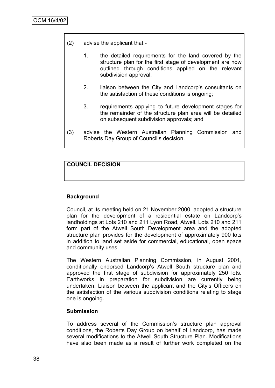- (2) advise the applicant that:-
	- 1. the detailed requirements for the land covered by the structure plan for the first stage of development are now outlined through conditions applied on the relevant subdivision approval;
	- 2. liaison between the City and Landcorp"s consultants on the satisfaction of these conditions is ongoing;
	- 3. requirements applying to future development stages for the remainder of the structure plan area will be detailed on subsequent subdivision approvals; and
- (3) advise the Western Australian Planning Commission and Roberts Day Group of Council"s decision.

## **COUNCIL DECISION**

#### **Background**

Council, at its meeting held on 21 November 2000, adopted a structure plan for the development of a residential estate on Landcorp"s landholdings at Lots 210 and 211 Lyon Road, Atwell. Lots 210 and 211 form part of the Atwell South Development area and the adopted structure plan provides for the development of approximately 900 lots in addition to land set aside for commercial, educational, open space and community uses.

The Western Australian Planning Commission, in August 2001, conditionally endorsed Landcorp"s Atwell South structure plan and approved the first stage of subdivision for approximately 250 lots. Earthworks in preparation for subdivision are currently being undertaken. Liaison between the applicant and the City"s Officers on the satisfaction of the various subdivision conditions relating to stage one is ongoing.

#### **Submission**

To address several of the Commission's structure plan approval conditions, the Roberts Day Group on behalf of Landcorp, has made several modifications to the Atwell South Structure Plan. Modifications have also been made as a result of further work completed on the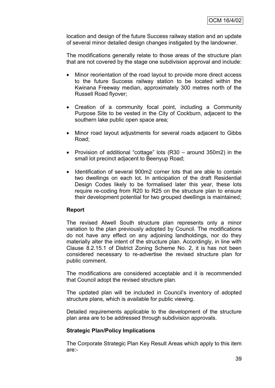location and design of the future Success railway station and an update of several minor detailed design changes instigated by the landowner.

The modifications generally relate to those areas of the structure plan that are not covered by the stage one subdivision approval and include:

- Minor reorientation of the road layout to provide more direct access to the future Success railway station to be located within the Kwinana Freeway median, approximately 300 metres north of the Russell Road flyover;
- Creation of a community focal point, including a Community Purpose Site to be vested in the City of Cockburn, adjacent to the southern lake public open space area;
- Minor road layout adjustments for several roads adjacent to Gibbs Road;
- Provision of additional "cottage" lots (R30 around 350m2) in the small lot precinct adjacent to Beenyup Road;
- Identification of several 900m2 corner lots that are able to contain two dwellings on each lot. In anticipation of the draft Residential Design Codes likely to be formalised later this year, these lots require re-coding from R20 to R25 on the structure plan to ensure their development potential for two grouped dwellings is maintained;

### **Report**

The revised Atwell South structure plan represents only a minor variation to the plan previously adopted by Council. The modifications do not have any effect on any adjoining landholdings, nor do they materially alter the intent of the structure plan. Accordingly, in line with Clause 8.2.15.1 of District Zoning Scheme No. 2, it is has not been considered necessary to re-advertise the revised structure plan for public comment.

The modifications are considered acceptable and it is recommended that Council adopt the revised structure plan.

The updated plan will be included in Council's inventory of adopted structure plans, which is available for public viewing.

Detailed requirements applicable to the development of the structure plan area are to be addressed through subdivision approvals.

### **Strategic Plan/Policy Implications**

The Corporate Strategic Plan Key Result Areas which apply to this item are:-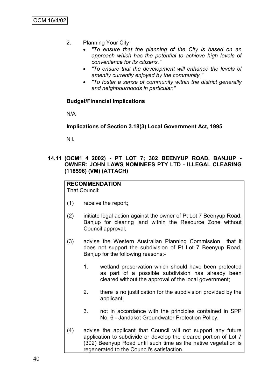- 2. Planning Your City
	- *"To ensure that the planning of the City is based on an approach which has the potential to achieve high levels of convenience for its citizens."*
	- *"To ensure that the development will enhance the levels of amenity currently enjoyed by the community."*
	- *"To foster a sense of community within the district generally and neighbourhoods in particular."*

## **Budget/Financial Implications**

N/A

**Implications of Section 3.18(3) Local Government Act, 1995**

Nil.

## **14.11 (OCM1\_4\_2002) - PT LOT 7; 302 BEENYUP ROAD, BANJUP - OWNER: JOHN LAWS NOMINEES PTY LTD - ILLEGAL CLEARING (118596) (VM) (ATTACH)**

# **RECOMMENDATION**

That Council:

- (1) receive the report;
- (2) initiate legal action against the owner of Pt Lot 7 Beenyup Road, Banjup for clearing land within the Resource Zone without Council approval;
- (3) advise the Western Australian Planning Commission that it does not support the subdivision of Pt Lot 7 Beenyup Road, Banjup for the following reasons:-
	- 1. wetland preservation which should have been protected as part of a possible subdivision has already been cleared without the approval of the local government;
	- 2. there is no justification for the subdivision provided by the applicant;
	- 3. not in accordance with the principles contained in SPP No. 6 - Jandakot Groundwater Protection Policy.
- (4) advise the applicant that Council will not support any future application to subdivide or develop the cleared portion of Lot 7 (302) Beenyup Road until such time as the native vegetation is regenerated to the Council's satisfaction.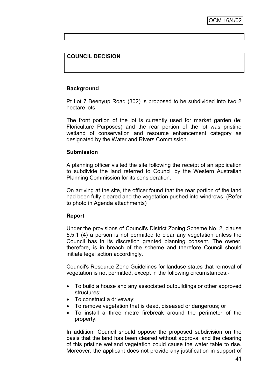## **COUNCIL DECISION**

### **Background**

Pt Lot 7 Beenyup Road (302) is proposed to be subdivided into two 2 hectare lots.

The front portion of the lot is currently used for market garden (ie: Floriculture Purposes) and the rear portion of the lot was pristine wetland of conservation and resource enhancement category as designated by the Water and Rivers Commission.

#### **Submission**

A planning officer visited the site following the receipt of an application to subdivide the land referred to Council by the Western Australian Planning Commission for its consideration.

On arriving at the site, the officer found that the rear portion of the land had been fully cleared and the vegetation pushed into windrows. (Refer to photo in Agenda attachments)

#### **Report**

Under the provisions of Council's District Zoning Scheme No. 2, clause 5.5.1 (4) a person is not permitted to clear any vegetation unless the Council has in its discretion granted planning consent. The owner, therefore, is in breach of the scheme and therefore Council should initiate legal action accordingly.

Council's Resource Zone Guidelines for landuse states that removal of vegetation is not permitted, except in the following circumstances:-

- To build a house and any associated outbuildings or other approved structures;
- To construct a driveway;
- To remove vegetation that is dead, diseased or dangerous; or
- To install a three metre firebreak around the perimeter of the property.

In addition, Council should oppose the proposed subdivision on the basis that the land has been cleared without approval and the clearing of this pristine wetland vegetation could cause the water table to rise. Moreover, the applicant does not provide any justification in support of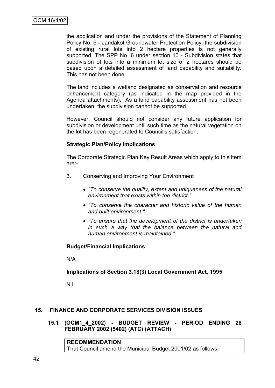the application and under the provisions of the Statement of Planning Policy No. 6 - Jandakot Groundwater Protection Policy, the subdivision of existing rural lots into 2 hectare properties is not generally supported. The SPP No. 6 under section 10 - Subdivision states that subdivision of lots into a minimum lot size of 2 hectares should be based upon a detailed assessment of land capability and suitability. This has not been done.

The land includes a wetland designated as conservation and resource enhancement category (as indicated in the map provided in the Agenda attachments). As a land capability assessment has not been undertaken, the subdivision cannot be supported.

However, Council should not consider any future application for subdivision or development until such time as the natural vegetation on the lot has been regenerated to Council's satisfaction.

### **Strategic Plan/Policy Implications**

The Corporate Strategic Plan Key Result Areas which apply to this item are:-

- 3. Conserving and Improving Your Environment
	- *"To conserve the quality, extent and uniqueness of the natural environment that exists within the district."*
	- *"To conserve the character and historic value of the human and built environment."*
	- *"To ensure that the development of the district is undertaken in such a way that the balance between the natural and human environment is maintained."*

# **Budget/Financial Implications**

N/A

# **Implications of Section 3.18(3) Local Government Act, 1995**

Nil

# **15. FINANCE AND CORPORATE SERVICES DIVISION ISSUES**

**15.1 (OCM1\_4\_2002) - BUDGET REVIEW - PERIOD ENDING 28 FEBRUARY 2002 (5402) (ATC) (ATTACH)**

**RECOMMENDATION** That Council amend the Municipal Budget 2001/02 as follows: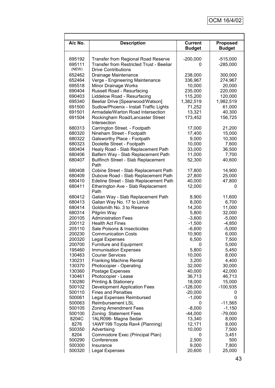| A/c No.          | <b>Description</b>                                        | <b>Current</b>   | Proposed         |
|------------------|-----------------------------------------------------------|------------------|------------------|
|                  |                                                           | <b>Budget</b>    | <b>Budget</b>    |
|                  |                                                           |                  |                  |
| 695192           | <b>Transfer from Regional Road Reserve</b>                | $-200,000$       | $-515,000$       |
| 695111           | <b>Transfer from Restricted Trust - Beeliar</b>           | 0                | $-285,000$       |
| (NEW)            | <b>Drive Contributions</b>                                |                  |                  |
| 652462           | Drainage Maintenance                                      | 238,000          | 300,000          |
| 652464           | Verge - Engineering Maintenance                           | 336,967          | 274,967          |
| 695518           | Minor Drainage Works                                      | 10,000           | 20,000           |
| 690404           | Russell Road - Resurfacing                                | 235,000          | 220,000          |
| 690403           | Liddelow Road - Resurfacing                               | 115,200          | 120,000          |
| 695340           | Beeliar Drive [Spearwood/Watson]                          | 1,382,519        | 1,982,519        |
| 691500           | Sudlow/Phoenix - Install Traffic Lights                   | 71,252           | 61,000           |
| 691501           | Armadale/Warton Road Intersection                         | 13,321           | 40,300           |
| 691504           | Rockingham Road/Lancaster Street<br>Intersection          | 173,452          | 156,725          |
| 680313           | Carrington Street. - Footpath                             | 17,000           | 21,200           |
| 680320           | Nineham Street - Footpath                                 | 17,400           | 15,000           |
| 680322           | Galsworthy Place - Footpath                               | 9,000            | 10,300           |
| 680323           | Doolette Street - Footpath                                | 10,000           | 7,600            |
| 680404           | Healy Road - Slab Replacement Path                        | 33,000           | 36,500           |
| 680406           | Balfern Way - Slab Replacement Path                       | 11,000           | 7,700            |
| 680407           | <b>Bullfinch Street - Slab Replacement</b>                | 52,300           | 40,600           |
|                  | Path                                                      |                  |                  |
| 680408           | Cobine Street - Slab Replacement Path                     | 17,800           | 14,900           |
| 680409           | Dubove Road - Slab Replacement Path                       | 27,800           | 25,000           |
| 680410           | Edeline Street - Slab Replacement Path                    | 40,000           | 47,800           |
| 680411           | Etherington Ave - Slab Replacement                        | 12,000           | 0                |
|                  | Path                                                      |                  |                  |
| 680412           | Galian Way - Slab Replacement Path                        | 8,900            | 11,600           |
| 680413           | Galian Way No. 17 to Lintott                              | 8,000            | 6,700            |
| 680414           | Goldsmith No. 3 to Reserve                                | 14,200           | 11,000           |
| 680314           | Pilgrim Way                                               | 5,800            | 32,000           |
| 200105           | <b>Administration Fees</b>                                | $-3,600$         | $-5,000$         |
| 200112           | <b>Health Act Fines</b>                                   | $-1,500$         | $-4,850$         |
| 205110           | Sale Poisons & Insecticides                               | $-6,600$         | $-5,000$         |
| 200230           | <b>Communication Costs</b>                                | 10,900           | 6,000            |
| 200320           | <b>Legal Expenses</b>                                     | 6,500            | 7,500            |
| 200700           | <b>Furniture and Equipment</b>                            | 0                | 5,000            |
| 195460           | <b>Immunisation Expenses</b>                              | 5,800            | 5,450            |
| 130463           | <b>Courier Services</b>                                   | 10,000           | 8,000            |
| 130231<br>130370 | <b>Franking Machine Rental</b><br>Photocopier - Operating | 3,200            | 4,400            |
| 130360           | Postage Expenses                                          | 32,000<br>40,000 | 30,000<br>42,000 |
| 130461           | Photocopier - Lease                                       | 36,713           | 46,713           |
| 130280           | <b>Printing &amp; Stationery</b>                          | 18,000           | 15,000           |
| 500102           | <b>Development Application Fees</b>                       | $-128,000$       | $-100,935$       |
| 500110           | <b>Fines and Penalties</b>                                | $-20,000$        | 0                |
| 500061           | <b>Legal Expenses Reimbursed</b>                          | $-1,000$         | 0                |
| 500063           | Reimbursement LSL                                         | 0                | $-11,565$        |
| 500105           | Zoning Amendment Fees                                     | $-8,000$         | $-1,150$         |
| 500100           | Zoning Statement Fees                                     | $-44,000$        | $-79,000$        |
| 8204C            | 1ALR096- Magna Sedan                                      | 13,340           | 8,000            |
| 8276             | 1AWF199 Toyota Rav4 (Planning)                            | 12,171           | 8,000            |
| 500350           | Advertising                                               | 10,000           | 7,500            |
| 8204             | Commodore Exec (Principal Plan)                           | 0                | 3,451            |
| 500290           | Conferences                                               | 2,500            | 500              |
| 500300           | Insurance                                                 | 9,000            | 7,800            |
| 500320           | Legal Expenses                                            | 20,600           | 25,000           |

Г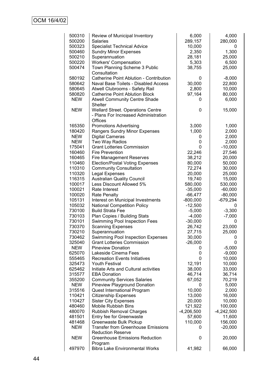| 500310     | Review of Municipal Inventory             | 6,000        | 4,000        |
|------------|-------------------------------------------|--------------|--------------|
| 500200     | Salaries                                  | 289,157      | 280,000      |
| 500323     | <b>Specialist Technical Advice</b>        | 10,000       | 0            |
| 500460     | <b>Sundry Minor Expenses</b>              | 2,350        | 1,300        |
| 500210     | Superannuation                            | 28,181       | 25,000       |
| 500220     | <b>Workers' Compensation</b>              | 5,303        | 6,500        |
| 500474     | Town Planning Scheme 3 Public             | 38,755       | 25,000       |
|            | Consultation                              |              |              |
| 580192     | Catherine Point Ablution - Contribution   | 0            | $-8,000$     |
| 580642     | Naval Base Toilets - Disabled Access      | 30,000       | 22,800       |
| 580645     | Atwell Clubrooms - Safety Rail            | 2,800        | 10,000       |
| 580820     | <b>Catherine Point Ablution Block</b>     | 97,164       | 80,000       |
| <b>NEW</b> | <b>Atwell Community Centre Shade</b>      | 0            | 6,000        |
|            | Shelter                                   |              |              |
| <b>NEW</b> | <b>Wellard Street. Operations Centre</b>  | 0            | 15,000       |
|            | - Plans For Increased Administration      |              |              |
|            | <b>Offices</b>                            |              |              |
| 165350     | <b>Promotions Advertising</b>             | 3,000        | 1,000        |
| 180420     | Rangers Sundry Minor Expenses             | 1,000        | 2,000        |
| <b>NEW</b> | <b>Digital Cameras</b>                    | 0            | 2,000        |
| <b>NEW</b> | Two Way Radios                            | 0            | 2,000        |
|            | <b>Grant Lotteries Commission</b>         | 0            |              |
| 175041     | <b>Fire Prevention</b>                    |              | $-10,000$    |
| 160460     |                                           | 22,246       | 27,546       |
| 160465     | <b>Fire Management Reserves</b>           | 38,212       | 20,000       |
| 110460     | <b>Election/Postal Voting Expenses</b>    | 80,000       | 50,000       |
| 110310     | <b>Community Consultation</b>             | 72,274       | 30,000       |
| 110320     | Legal Expenses                            | 20,000       | 25,000       |
| 116315     | <b>Australian Quality Council</b>         | 19,740       | 15,000       |
| 100017     | Less Discount Allowed 5%                  | 580,000      | 530,000      |
| 100021     | Rate Interest                             | $-35,000$    | $-60,000$    |
| 100020     | Rate Penalty                              | $-66,477$    | $-80,000$    |
| 105131     | Interest on Municipal Investments         | $-800,000$   | -679,294     |
| 105032     | <b>National Competition Policy</b>        | $-12,500$    | 0            |
| 730100     | <b>Build Strata Fee</b>                   | $-5,000$     | $-3,300$     |
| 730103     | Plan Copies / Building Stats              | $-4,000$     | $-7,000$     |
| 730101     | Swimming Pool Inspection Fees             | $-30,000$    | 0            |
| 730370     | <b>Scanning Expenses</b>                  | 26,742       | 23,000       |
| 730210     | Superannuation                            | 27,715       | 25,000       |
| 730462     | Swimming Pool Inspection Expenses         | 30,000       | 0            |
| 325040     | <b>Grant Lotteries Commission</b>         | $-26,000$    | 0            |
| <b>NEW</b> | <b>Pineview Donation</b>                  | 0            | $-5,000$     |
| 625070     | Lakeside Cinema Fees                      | 0            | $-9,000$     |
| 555465     | <b>Recreation Events Initiatives</b>      | 0            | 10,000       |
| 325473     | <b>Youth Festival</b>                     | 12,191       | 10,000       |
| 625462     | Initiate Arts and Cultural activities     | 38,000       | 33,000       |
| 315577     | <b>EBA Donation</b>                       | 46,714       | 36,714       |
| 355200     | <b>Community Services Salaries</b>        | 67,052       | 70,219       |
| <b>NEW</b> | <b>Pineview Playground Donation</b>       | 0            | 5,000        |
| 315516     | Quest International Program               | 10,000       | 2,000        |
| 110421     | <b>Citizenship Expenses</b>               | 13,000       | 16,000       |
| 110427     | <b>Sister City Expenses</b>               | 20,000       | 10,000       |
| 480460     | <b>Mobile Rubbish Bins</b>                | 121,922      | 100,000      |
| 480070     | <b>Rubbish Removal Charges</b>            | $-4,206,500$ | $-4,242,500$ |
| 481501     | Entry fee for Greenwaste                  | 57,600       | 11,600       |
| 481468     | Greenwaste Bulk Pickup                    | 110,000      | 156,000      |
| <b>NEW</b> | <b>Transfer from Greenhouse Emissions</b> | 0            | $-20,000$    |
|            | <b>Reduction Reserve</b>                  |              |              |
| <b>NEW</b> | <b>Greenhouse Emissions Reduction</b>     | 0            | 20,000       |
|            | Program                                   |              |              |
| 497970     | <b>Bibra Lake Environmental Works</b>     | 41,982       | 66,000       |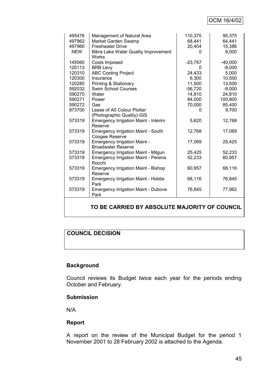# OCM 16/4/02

| 495476     | Management of Natural Area                           | 110,375   | 95,375    |
|------------|------------------------------------------------------|-----------|-----------|
| 497962     | Market Garden Swamp                                  | 68,441    | 64,441    |
| 497960     | <b>Freshwater Drive</b>                              | 20,404    | 15,386    |
| <b>NEW</b> | <b>Bibra Lake Water Quality Improvement</b><br>Works | O         | 8,000     |
| 145060     | Costs Imposed                                        | $-23,767$ | $-40,000$ |
| 120113     | <b>BRB Levy</b>                                      | 0         | $-8,000$  |
| 120310     | <b>ABC Costing Project</b>                           | 24,433    | 5,000     |
| 120300     | Insurance                                            | 6,300     | 10,500    |
| 120280     | Printing & Stationary                                | 11,500    | 13,500    |
| 592032     | <b>Swim School Courses</b>                           | $-56,720$ | $-9,000$  |
| 590270     | Water                                                | 14,810    | 24,810    |
| 590271     | Power                                                | 84,000    | 100,800   |
| 590272     | Gas                                                  | 70,000    | 85,400    |
| 873700     | Lease of A0 Colour Plotter                           | 0         | 9,700     |
|            | (Photographic Quality)-GIS                           |           |           |
| 573319     | Emergency Irrigation Maint - Interim                 | 5,620     | 12,768    |
|            | Reserve                                              |           |           |
| 573319     | <b>Emergency Irrigation Maint - South</b>            | 12,768    | 17,069    |
|            | Coogee Reserve                                       |           |           |
| 573319     | <b>Emergency Irrigation Maint -</b>                  | 17,069    | 25,425    |
|            | <b>Broadwater Reserve</b>                            |           |           |
| 573319     | <b>Emergency Irrigation Maint - Milgun</b>           | 25,425    | 52,233    |
| 573319     | <b>Emergency Irrigation Maint - Perena</b>           | 52,233    | 60,957    |
|            | Rocchi                                               |           |           |
| 573319     | <b>Emergency Irrigation Maint - Bishop</b>           | 60,957    | 68,116    |
|            | Reserve                                              |           |           |
| 573319     | <b>Emergency Irrigation Maint - Hobbs</b>            | 68,116    | 76,845    |
|            | Park                                                 |           |           |
| 573319     | <b>Emergency Irrigation Maint - Dubove</b>           | 76,845    | 77,962    |
|            | Park                                                 |           |           |
|            |                                                      |           |           |

# **TO BE CARRIED BY ABSOLUTE MAJORITY OF COUNCIL**

# **COUNCIL DECISION**

### **Background**

Council reviews its Budget twice each year for the periods ending October and February.

### **Submission**

N/A

### **Report**

A report on the review of the Municipal Budget for the period 1 November 2001 to 28 February 2002 is attached to the Agenda.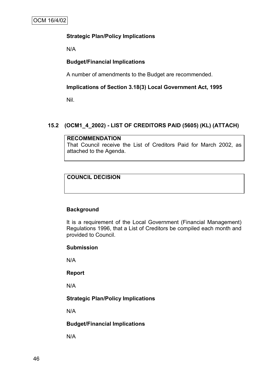# **Strategic Plan/Policy Implications**

N/A

# **Budget/Financial Implications**

A number of amendments to the Budget are recommended.

# **Implications of Section 3.18(3) Local Government Act, 1995**

Nil.

# **15.2 (OCM1\_4\_2002) - LIST OF CREDITORS PAID (5605) (KL) (ATTACH)**

#### **RECOMMENDATION**

That Council receive the List of Creditors Paid for March 2002, as attached to the Agenda.

# **COUNCIL DECISION**

# **Background**

It is a requirement of the Local Government (Financial Management) Regulations 1996, that a List of Creditors be compiled each month and provided to Council.

### **Submission**

N/A

### **Report**

N/A

# **Strategic Plan/Policy Implications**

N/A

### **Budget/Financial Implications**

N/A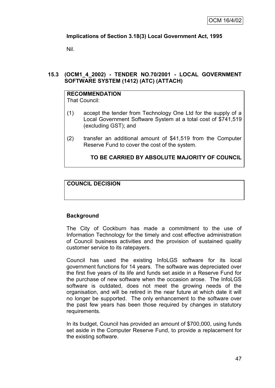# **Implications of Section 3.18(3) Local Government Act, 1995**

Nil.

## **15.3 (OCM1\_4\_2002) - TENDER NO.70/2001 - LOCAL GOVERNMENT SOFTWARE SYSTEM (1412) (ATC) (ATTACH)**

# **RECOMMENDATION**

That Council:

- (1) accept the tender from Technology One Ltd for the supply of a Local Government Software System at a total cost of \$741,519 (excluding GST); and
- (2) transfer an additional amount of \$41,519 from the Computer Reserve Fund to cover the cost of the system.

## **TO BE CARRIED BY ABSOLUTE MAJORITY OF COUNCIL**

## **COUNCIL DECISION**

# **Background**

The City of Cockburn has made a commitment to the use of Information Technology for the timely and cost effective administration of Council business activities and the provision of sustained quality customer service to its ratepayers.

Council has used the existing InfoLGS software for its local government functions for 14 years. The software was depreciated over the first five years of its life and funds set aside in a Reserve Fund for the purchase of new software when the occasion arose. The InfoLGS software is outdated, does not meet the growing needs of the organisation, and will be retired in the near future at which date it will no longer be supported. The only enhancement to the software over the past few years has been those required by changes in statutory requirements.

In its budget, Council has provided an amount of \$700,000, using funds set aside in the Computer Reserve Fund, to provide a replacement for the existing software.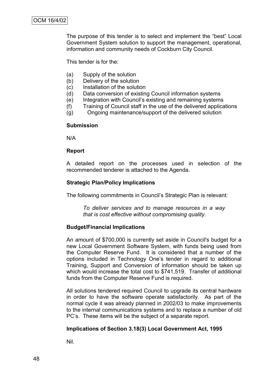The purpose of this tender is to select and implement the "best" Local Government System solution to support the management, operational, information and community needs of Cockburn City Council.

This tender is for the:

- (a) Supply of the solution
- (b) Delivery of the solution
- (c) Installation of the solution
- (d) Data conversion of existing Council information systems
- (e) Integration with Council"s existing and remaining systems
- (f) Training of Council staff in the use of the delivered applications
- (g) Ongoing maintenance/support of the delivered solution

#### **Submission**

N/A

#### **Report**

A detailed report on the processes used in selection of the recommended tenderer is attached to the Agenda.

#### **Strategic Plan/Policy Implications**

The following commitments in Council"s Strategic Plan is relevant:

*To deliver services and to manage resources in a way that is cost effective without compromising quality.*

### **Budget/Financial Implications**

An amount of \$700,000 is currently set aside in Council's budget for a new Local Government Software System, with funds being used from the Computer Reserve Fund. It is considered that a number of the options included in Technology One"s tender in regard to additional Training, Support and Conversion of information should be taken up which would increase the total cost to \$741,519. Transfer of additional funds from the Computer Reserve Fund is required.

All solutions tendered required Council to upgrade its central hardware in order to have the software operate satisfactorily. As part of the normal cycle it was already planned in 2002/03 to make improvements to the internal communications systems and to replace a number of old PC"s. These items will be the subject of a separate report.

### **Implications of Section 3.18(3) Local Government Act, 1995**

Nil.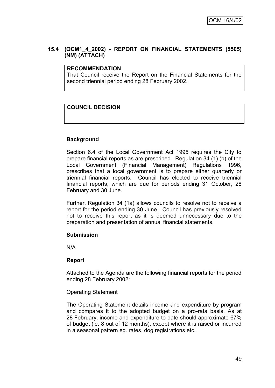## **15.4 (OCM1\_4\_2002) - REPORT ON FINANCIAL STATEMENTS (5505) (NM) (ATTACH)**

#### **RECOMMENDATION**

That Council receive the Report on the Financial Statements for the second triennial period ending 28 February 2002.

## **COUNCIL DECISION**

### **Background**

Section 6.4 of the Local Government Act 1995 requires the City to prepare financial reports as are prescribed. Regulation 34 (1) (b) of the Local Government (Financial Management) Regulations 1996, prescribes that a local government is to prepare either quarterly or triennial financial reports. Council has elected to receive triennial financial reports, which are due for periods ending 31 October, 28 February and 30 June.

Further, Regulation 34 (1a) allows councils to resolve not to receive a report for the period ending 30 June. Council has previously resolved not to receive this report as it is deemed unnecessary due to the preparation and presentation of annual financial statements.

### **Submission**

N/A

### **Report**

Attached to the Agenda are the following financial reports for the period ending 28 February 2002:

#### Operating Statement

The Operating Statement details income and expenditure by program and compares it to the adopted budget on a pro-rata basis. As at 28 February, income and expenditure to date should approximate 67% of budget (ie. 8 out of 12 months), except where it is raised or incurred in a seasonal pattern eg. rates, dog registrations etc.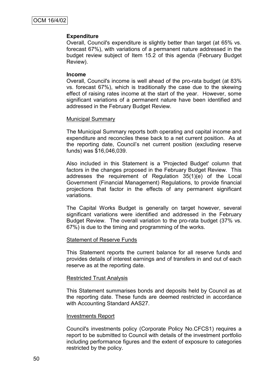#### **Expenditure**

Overall, Council's expenditure is slightly better than target (at 65% vs. forecast 67%), with variations of a permanent nature addressed in the budget review subject of Item 15.2 of this agenda (February Budget Review).

#### **Income**

Overall, Council's income is well ahead of the pro-rata budget (at 83% vs. forecast 67%), which is traditionally the case due to the skewing effect of raising rates income at the start of the year. However, some significant variations of a permanent nature have been identified and addressed in the February Budget Review.

#### Municipal Summary

The Municipal Summary reports both operating and capital income and expenditure and reconciles these back to a net current position. As at the reporting date, Council"s net current position (excluding reserve funds) was \$16,046,039.

Also included in this Statement is a 'Projected Budget' column that factors in the changes proposed in the February Budget Review. This addresses the requirement of Regulation 35(1)(e) of the Local Government (Financial Management) Regulations, to provide financial projections that factor in the effects of any permanent significant variations.

The Capital Works Budget is generally on target however, several significant variations were identified and addressed in the February Budget Review. The overall variation to the pro-rata budget (37% vs. 67%) is due to the timing and programming of the works.

#### Statement of Reserve Funds

This Statement reports the current balance for all reserve funds and provides details of interest earnings and of transfers in and out of each reserve as at the reporting date.

#### Restricted Trust Analysis

This Statement summarises bonds and deposits held by Council as at the reporting date. These funds are deemed restricted in accordance with Accounting Standard AAS27.

#### Investments Report

Council's investments policy (Corporate Policy No.CFCS1) requires a report to be submitted to Council with details of the investment portfolio including performance figures and the extent of exposure to categories restricted by the policy.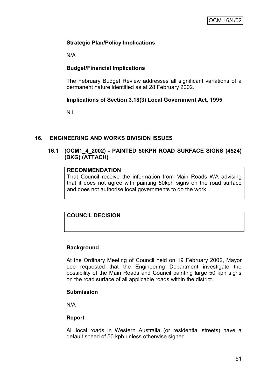# **Strategic Plan/Policy Implications**

N/A

## **Budget/Financial Implications**

The February Budget Review addresses all significant variations of a permanent nature identified as at 28 February 2002.

## **Implications of Section 3.18(3) Local Government Act, 1995**

Nil.

### **16. ENGINEERING AND WORKS DIVISION ISSUES**

## **16.1 (OCM1\_4\_2002) - PAINTED 50KPH ROAD SURFACE SIGNS (4524) (BKG) (ATTACH)**

## **RECOMMENDATION**

That Council receive the information from Main Roads WA advising that it does not agree with painting 50kph signs on the road surface and does not authorise local governments to do the work.

# **COUNCIL DECISION**

### **Background**

At the Ordinary Meeting of Council held on 19 February 2002, Mayor Lee requested that the Engineering Department investigate the possibility of the Main Roads and Council painting large 50 kph signs on the road surface of all applicable roads within the district.

#### **Submission**

N/A

### **Report**

All local roads in Western Australia (or residential streets) have a default speed of 50 kph unless otherwise signed.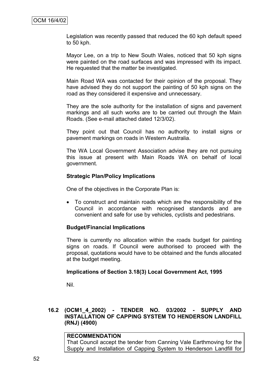Legislation was recently passed that reduced the 60 kph default speed to 50 kph.

Mayor Lee, on a trip to New South Wales, noticed that 50 kph signs were painted on the road surfaces and was impressed with its impact. He requested that the matter be investigated.

Main Road WA was contacted for their opinion of the proposal. They have advised they do not support the painting of 50 kph signs on the road as they considered it expensive and unnecessary.

They are the sole authority for the installation of signs and pavement markings and all such works are to be carried out through the Main Roads. (See e-mail attached dated 12/3/02).

They point out that Council has no authority to install signs or pavement markings on roads in Western Australia.

The WA Local Government Association advise they are not pursuing this issue at present with Main Roads WA on behalf of local government.

### **Strategic Plan/Policy Implications**

One of the objectives in the Corporate Plan is:

 To construct and maintain roads which are the responsibility of the Council in accordance with recognised standards and are convenient and safe for use by vehicles, cyclists and pedestrians.

#### **Budget/Financial Implications**

There is currently no allocation within the roads budget for painting signs on roads. If Council were authorised to proceed with the proposal, quotations would have to be obtained and the funds allocated at the budget meeting.

#### **Implications of Section 3.18(3) Local Government Act, 1995**

Nil.

# **16.2 (OCM1\_4\_2002) - TENDER NO. 03/2002 - SUPPLY AND INSTALLATION OF CAPPING SYSTEM TO HENDERSON LANDFILL (RNJ) (4900)**

### **RECOMMENDATION**

That Council accept the tender from Canning Vale Earthmoving for the Supply and Installation of Capping System to Henderson Landfill for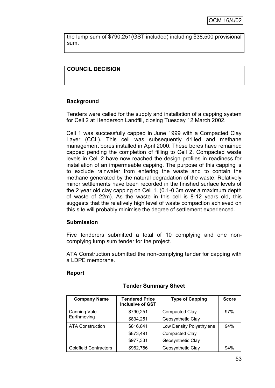the lump sum of \$790,251(GST included) including \$38,500 provisional sum.

# **COUNCIL DECISION**

## **Background**

Tenders were called for the supply and installation of a capping system for Cell 2 at Henderson Landfill, closing Tuesday 12 March 2002.

Cell 1 was successfully capped in June 1999 with a Compacted Clay Layer (CCL). This cell was subsequently drilled and methane management bores installed in April 2000. These bores have remained capped pending the completion of filling to Cell 2. Compacted waste levels in Cell 2 have now reached the design profiles in readiness for installation of an impermeable capping. The purpose of this capping is to exclude rainwater from entering the waste and to contain the methane generated by the natural degradation of the waste. Relatively minor settlements have been recorded in the finished surface levels of the 2 year old clay capping on Cell 1. (0.1-0.3m over a maximum depth of waste of 22m). As the waste in this cell is 8-12 years old, this suggests that the relatively high level of waste compaction achieved on this site will probably minimise the degree of settlement experienced.

### **Submission**

Five tenderers submitted a total of 10 complying and one noncomplying lump sum tender for the project.

ATA Construction submitted the non-complying tender for capping with a LDPE membrane.

### **Report**

| <b>Company Name</b>          | Tendered Price<br><b>Inclusive of GST</b> | <b>Type of Capping</b>   | <b>Score</b> |
|------------------------------|-------------------------------------------|--------------------------|--------------|
| Canning Vale                 | \$790,251                                 | Compacted Clay           | 97%          |
| Earthmoving                  | \$834,251                                 | Geosynthetic Clay        |              |
| <b>ATA Construction</b>      | \$816,841                                 | Low Density Polyethylene | 94%          |
|                              | \$873,491                                 | Compacted Clay           |              |
|                              | \$977,331                                 | Geosynthetic Clay        |              |
| <b>Goldfield Contractors</b> | \$962,786                                 | Geosynthetic Clay        | 94%          |

# **Tender Summary Sheet**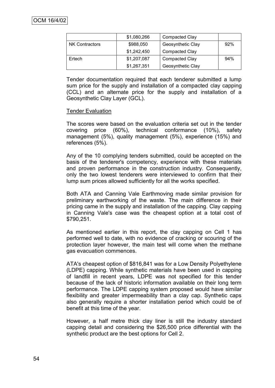|                       | \$1,080,266 | <b>Compacted Clay</b>    |     |
|-----------------------|-------------|--------------------------|-----|
| <b>NK Contractors</b> | \$988,050   | 92%<br>Geosynthetic Clay |     |
|                       | \$1,242,450 | <b>Compacted Clay</b>    |     |
| Ertech                | \$1,207,087 | <b>Compacted Clay</b>    | 94% |
|                       | \$1,267,351 | Geosynthetic Clay        |     |

Tender documentation required that each tenderer submitted a lump sum price for the supply and installation of a compacted clay capping (CCL) and an alternate price for the supply and installation of a Geosynthetic Clay Layer (GCL).

### Tender Evaluation

The scores were based on the evaluation criteria set out in the tender covering price (60%), technical conformance (10%), safety management (5%), quality management (5%), experience (15%) and references (5%).

Any of the 10 complying tenders submitted, could be accepted on the basis of the tenderer's competency, experience with these materials and proven performance in the construction industry. Consequently, only the two lowest tenderers were interviewed to confirm that their lump sum prices allowed sufficiently for all the works specified.

Both ATA and Canning Vale Earthmoving made similar provision for preliminary earthworking of the waste. The main difference in their pricing came in the supply and installation of the capping. Clay capping in Canning Vale's case was the cheapest option at a total cost of \$790,251.

As mentioned earlier in this report, the clay capping on Cell 1 has performed well to date, with no evidence of cracking or scouring of the protection layer however, the main test will come when the methane gas evacuation commences.

ATA's cheapest option of \$816,841 was for a Low Density Polyethylene (LDPE) capping. While synthetic materials have been used in capping of landfill in recent years, LDPE was not specified for this tender because of the lack of historic information available on their long term performance. The LDPE capping system proposed would have similar flexibility and greater impermeability than a clay cap. Synthetic caps also generally require a shorter installation period which could be of benefit at this time of the year.

However, a half metre thick clay liner is still the industry standard capping detail and considering the \$26,500 price differential with the synthetic product are the best options for Cell 2.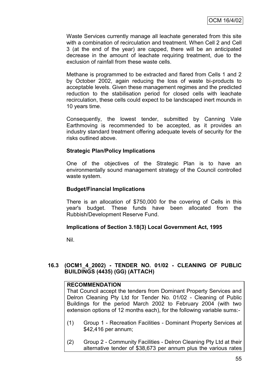Waste Services currently manage all leachate generated from this site with a combination of recirculation and treatment. When Cell 2 and Cell 3 (at the end of the year) are capped, there will be an anticipated decrease in the amount of leachate requiring treatment, due to the exclusion of rainfall from these waste cells.

Methane is programmed to be extracted and flared from Cells 1 and 2 by October 2002, again reducing the loss of waste bi-products to acceptable levels. Given these management regimes and the predicted reduction to the stabilisation period for closed cells with leachate recirculation, these cells could expect to be landscaped inert mounds in 10 years time.

Consequently, the lowest tender, submitted by Canning Vale Earthmoving is recommended to be accepted, as it provides an industry standard treatment offering adequate levels of security for the risks outlined above.

## **Strategic Plan/Policy Implications**

One of the objectives of the Strategic Plan is to have an environmentally sound management strategy of the Council controlled waste system.

### **Budget/Financial Implications**

There is an allocation of \$750,000 for the covering of Cells in this year's budget. These funds have been allocated from the Rubbish/Development Reserve Fund.

### **Implications of Section 3.18(3) Local Government Act, 1995**

Nil.

# **16.3 (OCM1\_4\_2002) - TENDER NO. 01/02 - CLEANING OF PUBLIC BUILDINGS (4435) (GG) (ATTACH)**

### **RECOMMENDATION**

That Council accept the tenders from Dominant Property Services and Delron Cleaning Pty Ltd for Tender No. 01/02 - Cleaning of Public Buildings for the period March 2002 to February 2004 (with two extension options of 12 months each), for the following variable sums:-

- (1) Group 1 Recreation Facilities Dominant Property Services at \$42,416 per annum;
- (2) Group 2 Community Facilities Delron Cleaning Pty Ltd at their alternative tender of \$38,673 per annum plus the various rates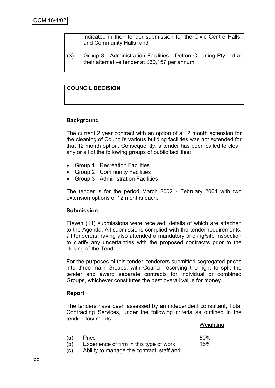indicated in their tender submission for the Civic Centre Halls; and Community Halls; and

(3) Group 3 - Administration Facilities - Delron Cleaning Pty Ltd at their alternative tender at \$60,157 per annum.

# **COUNCIL DECISION**

#### **Background**

The current 2 year contract with an option of a 12 month extension for the cleaning of Council's various building facilities was not extended for that 12 month option. Consequently, a tender has been called to clean any or all of the following groups of public facilities:

- Group 1 Recreation Facilities
- Group 2 Community Facilities
- Group 3 Administration Facilities

The tender is for the period March 2002 - February 2004 with two extension options of 12 months each.

#### **Submission**

Eleven (11) submissions were received, details of which are attached to the Agenda. All submissions complied with the tender requirements, all tenderers having also attended a mandatory briefing/site inspection to clarify any uncertainties with the proposed contract/s prior to the closing of the Tender.

For the purposes of this tender, tenderers submitted segregated prices into three main Groups, with Council reserving the right to split the tender and award separate contracts for individual or combined Groups, whichever constitutes the best overall value for money.

#### **Report**

The tenders have been assessed by an independent consultant, Total Contracting Services, under the following criteria as outlined in the tender documents:-

**Weighting** 

| (a) | Price                                     | 50% |
|-----|-------------------------------------------|-----|
| (b) | Experience of firm in this type of work   | 15% |
| (c) | Ability to manage the contract, staff and |     |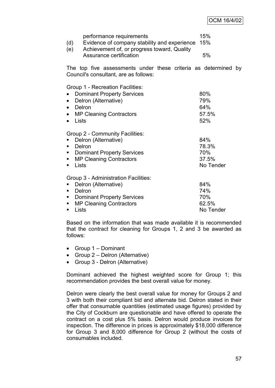## OCM 16/4/02

| (d)<br>(e)                      | performance requirements<br>Evidence of company stability and experience<br>Achievement of, or progress toward, Quality<br>Assurance certification     |  | 15%<br>15%<br>5%                          |    |
|---------------------------------|--------------------------------------------------------------------------------------------------------------------------------------------------------|--|-------------------------------------------|----|
|                                 | The top five assessments under these criteria as determined<br>Council's consultant, are as follows:                                                   |  |                                           | by |
| $\bullet$<br>Lists<br>$\bullet$ | Group 1 - Recreation Facilities:<br><b>Dominant Property Services</b><br>Delron (Alternative)<br>Delron<br><b>MP Cleaning Contractors</b>              |  | 80%<br>79%<br>64%<br>57.5%<br>52%         |    |
| ٠<br>п<br>$\blacksquare$<br>٠   | Group 2 - Community Facilities:<br>Delron (Alternative)<br>Delron<br><b>Dominant Property Services</b><br><b>MP Cleaning Contractors</b><br>Lists      |  | 84%<br>78.3%<br>70%<br>37.5%<br>No Tender |    |
| ٠<br>ш<br>п<br>٠                | Group 3 - Administration Facilities:<br>Delron (Alternative)<br>Delron<br><b>Dominant Property Services</b><br><b>MP Cleaning Contractors</b><br>Lists |  | 84%<br>74%<br>70%<br>62.5%<br>No Tender   |    |

Based on the information that was made available it is recommended that the contract for cleaning for Groups 1, 2 and 3 be awarded as follows:

- Group 1 Dominant
- Group 2 Delron (Alternative)
- Group 3 Delron (Alternative)

Dominant achieved the highest weighted score for Group 1; this recommendation provides the best overall value for money.

Delron were clearly the best overall value for money for Groups 2 and 3 with both their compliant bid and alternate bid. Delron stated in their offer that consumable quantities (estimated usage figures) provided by the City of Cockburn are questionable and have offered to operate the contract on a cost plus 5% basis. Delron would produce invoices for inspection. The difference in prices is approximately \$18,000 difference for Group 3 and 8,000 difference for Group 2 (without the costs of consumables included.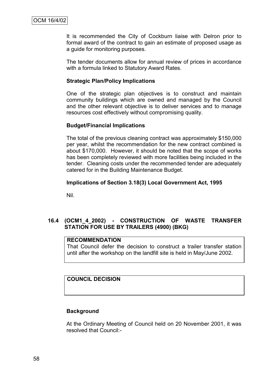It is recommended the City of Cockburn liaise with Delron prior to formal award of the contract to gain an estimate of proposed usage as a guide for monitoring purposes.

The tender documents allow for annual review of prices in accordance with a formula linked to Statutory Award Rates.

#### **Strategic Plan/Policy Implications**

One of the strategic plan objectives is to construct and maintain community buildings which are owned and managed by the Council and the other relevant objective is to deliver services and to manage resources cost effectively without compromising quality.

#### **Budget/Financial Implications**

The total of the previous cleaning contract was approximately \$150,000 per year, whilst the recommendation for the new contract combined is about \$170,000. However, it should be noted that the scope of works has been completely reviewed with more facilities being included in the tender. Cleaning costs under the recommended tender are adequately catered for in the Building Maintenance Budget.

#### **Implications of Section 3.18(3) Local Government Act, 1995**

Nil.

## **16.4 (OCM1\_4\_2002) - CONSTRUCTION OF WASTE TRANSFER STATION FOR USE BY TRAILERS (4900) (BKG)**

## **RECOMMENDATION**

That Council defer the decision to construct a trailer transfer station until after the workshop on the landfill site is held in May/June 2002.

#### **COUNCIL DECISION**

### **Background**

At the Ordinary Meeting of Council held on 20 November 2001, it was resolved that Council:-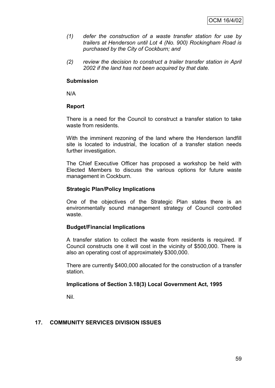- *(1) defer the construction of a waste transfer station for use by trailers at Henderson until Lot 4 (No. 900) Rockingham Road is purchased by the City of Cockburn; and*
- *(2) review the decision to construct a trailer transfer station in April 2002 if the land has not been acquired by that date.*

#### **Submission**

N/A

### **Report**

There is a need for the Council to construct a transfer station to take waste from residents.

With the imminent rezoning of the land where the Henderson landfill site is located to industrial, the location of a transfer station needs further investigation.

The Chief Executive Officer has proposed a workshop be held with Elected Members to discuss the various options for future waste management in Cockburn.

#### **Strategic Plan/Policy Implications**

One of the objectives of the Strategic Plan states there is an environmentally sound management strategy of Council controlled waste.

### **Budget/Financial Implications**

A transfer station to collect the waste from residents is required. If Council constructs one it will cost in the vicinity of \$500,000. There is also an operating cost of approximately \$300,000.

There are currently \$400,000 allocated for the construction of a transfer station.

### **Implications of Section 3.18(3) Local Government Act, 1995**

Nil.

### **17. COMMUNITY SERVICES DIVISION ISSUES**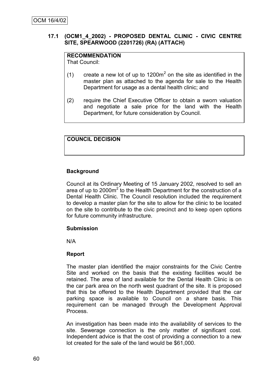## **17.1 (OCM1\_4\_2002) - PROPOSED DENTAL CLINIC - CIVIC CENTRE SITE, SPEARWOOD (2201726) (RA) (ATTACH)**

# **RECOMMENDATION**

That Council:

- (1) create a new lot of up to  $1200m^2$  on the site as identified in the master plan as attached to the agenda for sale to the Health Department for usage as a dental health clinic; and
- (2) require the Chief Executive Officer to obtain a sworn valuation and negotiate a sale price for the land with the Health Department, for future consideration by Council.

# **COUNCIL DECISION**

## **Background**

Council at its Ordinary Meeting of 15 January 2002, resolved to sell an area of up to 2000m<sup>2</sup> to the Health Department for the construction of a Dental Health Clinic. The Council resolution included the requirement to develop a master plan for the site to allow for the clinic to be located on the site to contribute to the civic precinct and to keep open options for future community infrastructure.

#### **Submission**

N/A

### **Report**

The master plan identified the major constraints for the Civic Centre Site and worked on the basis that the existing facilities would be retained. The area of land available for the Dental Health Clinic is on the car park area on the north west quadrant of the site. It is proposed that this be offered to the Health Department provided that the car parking space is available to Council on a share basis. This requirement can be managed through the Development Approval Process.

An investigation has been made into the availability of services to the site. Sewerage connection is the only matter of significant cost. Independent advice is that the cost of providing a connection to a new lot created for the sale of the land would be \$61,000.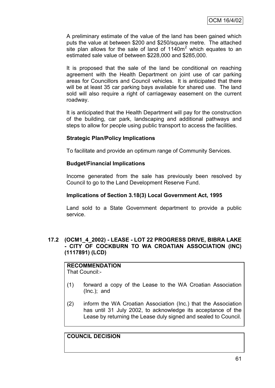A preliminary estimate of the value of the land has been gained which puts the value at between \$200 and \$250/square metre. The attached site plan allows for the sale of land of  $1140m<sup>2</sup>$  which equates to an estimated sale value of between \$228,000 and \$285,000.

It is proposed that the sale of the land be conditional on reaching agreement with the Health Department on joint use of car parking areas for Councillors and Council vehicles. It is anticipated that there will be at least 35 car parking bays available for shared use. The land sold will also require a right of carriageway easement on the current roadway.

It is anticipated that the Health Department will pay for the construction of the building, car park, landscaping and additional pathways and steps to allow for people using public transport to access the facilities.

### **Strategic Plan/Policy Implications**

To facilitate and provide an optimum range of Community Services.

## **Budget/Financial Implications**

Income generated from the sale has previously been resolved by Council to go to the Land Development Reserve Fund.

### **Implications of Section 3.18(3) Local Government Act, 1995**

Land sold to a State Government department to provide a public service.

## **17.2 (OCM1\_4\_2002) - LEASE - LOT 22 PROGRESS DRIVE, BIBRA LAKE - CITY OF COCKBURN TO WA CROATIAN ASSOCIATION (INC) (1117891) (LCD)**

# **RECOMMENDATION**

That Council:-

- (1) forward a copy of the Lease to the WA Croatian Association (Inc.); and
- (2) inform the WA Croatian Association (Inc.) that the Association has until 31 July 2002, to acknowledge its acceptance of the Lease by returning the Lease duly signed and sealed to Council.

# **COUNCIL DECISION**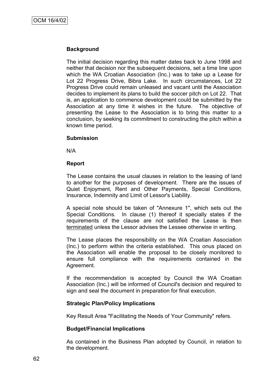## **Background**

The initial decision regarding this matter dates back to June 1998 and neither that decision nor the subsequent decisions, set a time line upon which the WA Croatian Association (Inc.) was to take up a Lease for Lot 22 Progress Drive, Bibra Lake. In such circumstances, Lot 22 Progress Drive could remain unleased and vacant until the Association decides to implement its plans to build the soccer pitch on Lot 22. That is, an application to commence development could be submitted by the Association at any time it wishes in the future. The objective of presenting the Lease to the Association is to bring this matter to a conclusion, by seeking its commitment to constructing the pitch within a known time period.

#### **Submission**

N/A

#### **Report**

The Lease contains the usual clauses in relation to the leasing of land to another for the purposes of development. There are the issues of Quiet Enjoyment, Rent and Other Payments, Special Conditions, Insurance, Indemnity and Limit of Lessor's Liability.

A special note should be taken of "Annexure 1", which sets out the Special Conditions. In clause (1) thereof it specially states if the requirements of the clause are not satisfied the Lease is then terminated unless the Lessor advises the Lessee otherwise in writing.

The Lease places the responsibility on the WA Croatian Association (Inc.) to perform within the criteria established. This onus placed on the Association will enable the proposal to be closely monitored to ensure full compliance with the requirements contained in the Agreement.

If the recommendation is accepted by Council the WA Croatian Association (Inc.) will be informed of Council's decision and required to sign and seal the document in preparation for final execution.

### **Strategic Plan/Policy Implications**

Key Result Area "Facilitating the Needs of Your Community" refers.

### **Budget/Financial Implications**

As contained in the Business Plan adopted by Council, in relation to the development.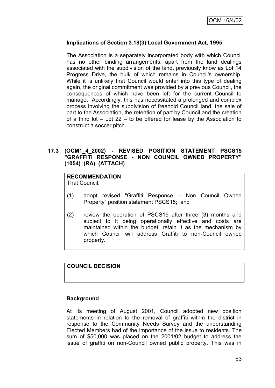# **Implications of Section 3.18(3) Local Government Act, 1995**

The Association is a separately incorporated body with which Council has no other binding arrangements, apart from the land dealings associated with the subdivision of the land, previously know as Lot 14 Progress Drive, the bulk of which remains in Council's ownership. While it is unlikely that Council would enter into this type of dealing again, the original commitment was provided by a previous Council, the consequences of which have been left for the current Council to manage. Accordingly, this has necessitated a prolonged and complex process involving the subdivision of freehold Council land, the sale of part to the Association, the retention of part by Council and the creation of a third lot – Lot 22 – to be offered for lease by the Association to construct a soccer pitch.

### **17.3 (OCM1\_4\_2002) - REVISED POSITION STATEMENT PSCS15 "GRAFFITI RESPONSE - NON COUNCIL OWNED PROPERTY" (1054) (RA) (ATTACH)**

# **RECOMMENDATION**

That Council:

- (1) adopt revised "Graffiti Response Non Council Owned Property" position statement PSCS15; and
- (2) review the operation of PSCS15 after three (3) months and subject to it being operationally effective and costs are maintained within the budget, retain it as the mechanism by which Council will address Graffiti to non-Council owned property.

# **COUNCIL DECISION**

#### **Background**

At its meeting of August 2001, Council adopted new position statements in relation to the removal of graffiti within the district in response to the Community Needs Survey and the understanding Elected Members had of the importance of the issue to residents. The sum of \$50,000 was placed on the 2001/02 budget to address the issue of graffiti on non-Council owned public property. This was in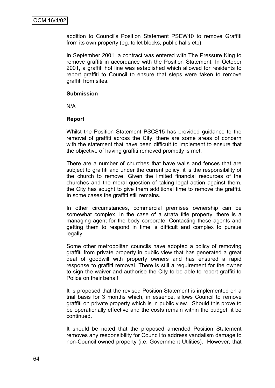addition to Council's Position Statement PSEW10 to remove Graffiti from its own property (eg. toilet blocks, public halls etc).

In September 2001, a contract was entered with The Pressure King to remove graffiti in accordance with the Position Statement. In October 2001, a graffiti hot line was established which allowed for residents to report graffiti to Council to ensure that steps were taken to remove graffiti from sites.

#### **Submission**

N/A

#### **Report**

Whilst the Position Statement PSCS15 has provided guidance to the removal of graffiti across the City, there are some areas of concern with the statement that have been difficult to implement to ensure that the objective of having graffiti removed promptly is met.

There are a number of churches that have walls and fences that are subject to graffiti and under the current policy, it is the responsibility of the church to remove. Given the limited financial resources of the churches and the moral question of taking legal action against them, the City has sought to give them additional time to remove the graffiti. In some cases the graffiti still remains.

In other circumstances, commercial premises ownership can be somewhat complex. In the case of a strata title property, there is a managing agent for the body corporate. Contacting these agents and getting them to respond in time is difficult and complex to pursue legally.

Some other metropolitan councils have adopted a policy of removing graffiti from private property in public view that has generated a great deal of goodwill with property owners and has ensured a rapid response to graffiti removal. There is still a requirement for the owner to sign the waiver and authorise the City to be able to report graffiti to Police on their behalf.

It is proposed that the revised Position Statement is implemented on a trial basis for 3 months which, in essence, allows Council to remove graffiti on private property which is in public view. Should this prove to be operationally effective and the costs remain within the budget, it be continued.

It should be noted that the proposed amended Position Statement removes any responsibility for Council to address vandalism damage to non-Council owned property (i.e. Government Utilities). However, that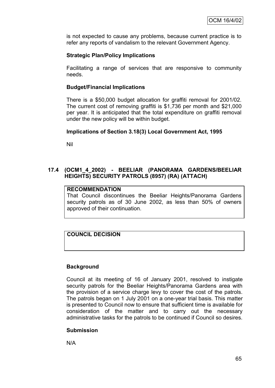is not expected to cause any problems, because current practice is to refer any reports of vandalism to the relevant Government Agency.

## **Strategic Plan/Policy Implications**

Facilitating a range of services that are responsive to community needs.

### **Budget/Financial Implications**

There is a \$50,000 budget allocation for graffiti removal for 2001/02. The current cost of removing graffiti is \$1,736 per month and \$21,000 per year. It is anticipated that the total expenditure on graffiti removal under the new policy will be within budget.

### **Implications of Section 3.18(3) Local Government Act, 1995**

Nil

## **17.4 (OCM1\_4\_2002) - BEELIAR (PANORAMA GARDENS/BEELIAR HEIGHTS) SECURITY PATROLS (8957) (RA) (ATTACH)**

### **RECOMMENDATION**

That Council discontinues the Beeliar Heights/Panorama Gardens security patrols as of 30 June 2002, as less than 50% of owners approved of their continuation.

# **COUNCIL DECISION**

### **Background**

Council at its meeting of 16 of January 2001, resolved to instigate security patrols for the Beeliar Heights/Panorama Gardens area with the provision of a service charge levy to cover the cost of the patrols. The patrols began on 1 July 2001 on a one-year trial basis. This matter is presented to Council now to ensure that sufficient time is available for consideration of the matter and to carry out the necessary administrative tasks for the patrols to be continued if Council so desires.

### **Submission**

N/A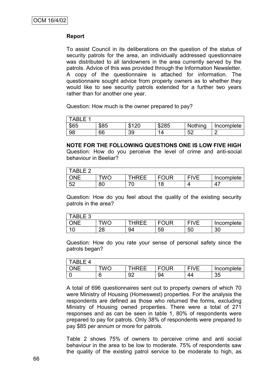## **Report**

To assist Council in its deliberations on the question of the status of security patrols for the area, an individually addressed questionnaire was distributed to all landowners in the area currently served by the patrols. Advice of this was provided through the Information Newsletter. A copy of the questionnaire is attached for information. The questionnaire sought advice from property owners as to whether they would like to see security patrols extended for a further two years rather than for another one year.

Question: How much is the owner prepared to pay?

| TABLE 1 |      |                  |       |          |            |
|---------|------|------------------|-------|----------|------------|
| \$65    | \$85 | 0.100<br>۷L<br>Œ | \$285 | Nothing  | Incomplete |
| 98      | 66   | 39               |       | БQ<br>◡▵ |            |

#### **NOTE FOR THE FOLLOWING QUESTIONS ONE IS LOW FIVE HIGH**

Question: How do you perceive the level of crime and anti-social behaviour in Beeliar?

| ABLE <sub>2</sub> |            |       |              |             |            |
|-------------------|------------|-------|--------------|-------------|------------|
|                   | <b>TWO</b> | THRFF | <b>EOLIR</b> | <b>FIVE</b> | Incomplete |
| 52<br>◡▵          | 80         |       | 1 O<br>O     |             | Δ          |

Question: How do you feel about the quality of the existing security patrols in the area?

| <b>TABLE 3</b> |         |       |             |             |            |
|----------------|---------|-------|-------------|-------------|------------|
| ONE            | TWC     | THRFF | <b>FOUR</b> | <b>FIVF</b> | Incomplete |
| 10             | ററ<br>ີ | 94    | 59          | 50          | 30         |

Question: How do you rate your sense of personal safety since the patrols began?

| ARI F 4 |     |       |             |             |            |
|---------|-----|-------|-------------|-------------|------------|
|         | TWO | THRFF | <b>FOUR</b> | <b>EIVE</b> | Incomplete |
|         |     | 92    | 94          | 44          | 35         |

A total of 696 questionnaires sent out to property owners of which 70 were Ministry of Housing (Homeswest) properties. For the analysis the respondents are defined as those who returned the forms, excluding Ministry of Housing owned properties. There were a total of 271 responses and as can be seen in table 1, 80% of respondents were prepared to pay for patrols. Only 38% of respondents were prepared to pay \$85 per annum or more for patrols.

Table 2 shows 75% of owners to perceive crime and anti social behaviour in the area to be low to moderate. 75% of respondents saw the quality of the existing patrol service to be moderate to high, as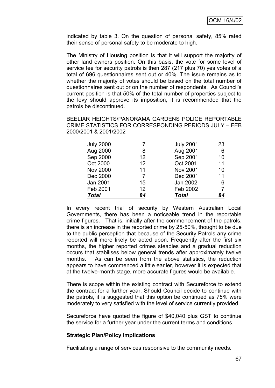indicated by table 3. On the question of personal safety, 85% rated their sense of personal safety to be moderate to high.

The Ministry of Housing position is that it will support the majority of other land owners position. On this basis, the vote for some level of service fee for security patrols is then 287 (217 plus 70) yes votes of a total of 696 questionnaires sent out or 40%. The issue remains as to whether the majority of votes should be based on the total number of questionnaires sent out or on the number of respondents. As Council's current position is that 50% of the total number of properties subject to the levy should approve its imposition, it is recommended that the patrols be discontinued.

BEELIAR HEIGHTS/PANORAMA GARDENS POLICE REPORTABLE CRIME STATISTICS FOR CORRESPONDING PERIODS JULY – FEB 2000/2001 & 2001/2002

| <b>July 2000</b> |                   | <b>July 2001</b> | 23 |
|------------------|-------------------|------------------|----|
| Aug 2000         | 8                 | Aug 2001         | 6  |
| Sep 2000         | $12 \overline{ }$ | Sep 2001         | 10 |
| Oct 2000         | $12 \overline{ }$ | Oct 2001         | 11 |
| <b>Nov 2000</b>  | 11                | <b>Nov 2001</b>  | 10 |
| Dec 2000         | 7                 | Dec 2001         | 11 |
| Jan 2001         | 15                | Jan 2002         | 6  |
| Feb 2001         | 12                | Feb 2002         | 7  |
| <b>Total</b>     | 84                | <b>Total</b>     | 84 |

In every recent trial of security by Western Australian Local Governments, there has been a noticeable trend in the reportable crime figures. That is, initially after the commencement of the patrols, there is an increase in the reported crime by 25-50%, thought to be due to the public perception that because of the Security Patrols any crime reported will more likely be acted upon. Frequently after the first six months, the higher reported crimes steadies and a gradual reduction occurs that stabilises below general trends after approximately twelve months. As can be seen from the above statistics, the reduction appears to have commenced a little earlier, however it is expected that at the twelve-month stage, more accurate figures would be available.

There is scope within the existing contract with Secureforce to extend the contract for a further year. Should Council decide to continue with the patrols, it is suggested that this option be continued as 75% were moderately to very satisfied with the level of service currently provided.

Secureforce have quoted the figure of \$40,040 plus GST to continue the service for a further year under the current terms and conditions.

#### **Strategic Plan/Policy Implications**

Facilitating a range of services responsive to the community needs.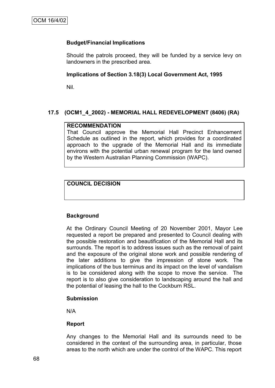## **Budget/Financial Implications**

Should the patrols proceed, they will be funded by a service levy on landowners in the prescribed area.

## **Implications of Section 3.18(3) Local Government Act, 1995**

Nil.

## **17.5 (OCM1\_4\_2002) - MEMORIAL HALL REDEVELOPMENT (8406) (RA)**

### **RECOMMENDATION**

That Council approve the Memorial Hall Precinct Enhancement Schedule as outlined in the report, which provides for a coordinated approach to the upgrade of the Memorial Hall and its immediate environs with the potential urban renewal program for the land owned by the Western Australian Planning Commission (WAPC).

## **COUNCIL DECISION**

## **Background**

At the Ordinary Council Meeting of 20 November 2001, Mayor Lee requested a report be prepared and presented to Council dealing with the possible restoration and beautification of the Memorial Hall and its surrounds. The report is to address issues such as the removal of paint and the exposure of the original stone work and possible rendering of the later additions to give the impression of stone work. The implications of the bus terminus and its impact on the level of vandalism is to be considered along with the scope to move the service. The report is to also give consideration to landscaping around the hall and the potential of leasing the hall to the Cockburn RSL.

#### **Submission**

N/A

## **Report**

Any changes to the Memorial Hall and its surrounds need to be considered in the context of the surrounding area, in particular, those areas to the north which are under the control of the WAPC. This report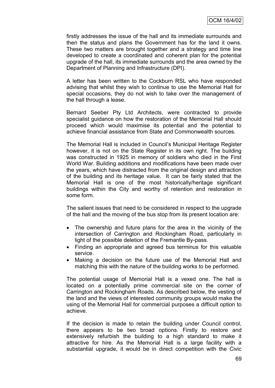firstly addresses the issue of the hall and its immediate surrounds and then the status and plans the Government has for the land it owns. These two matters are brought together and a strategy and time line developed to create a coordinated and coherent plan for the potential upgrade of the hall, its immediate surrounds and the area owned by the Department of Planning and Infrastructure (DPI).

A letter has been written to the Cockburn RSL who have responded advising that whilst they wish to continue to use the Memorial Hall for special occasions, they do not wish to take over the management of the hall through a lease.

Bernard Seeber Pty Ltd Architects, were contracted to provide specialist guidance on how the restoration of the Memorial Hall should proceed which would maximise its potential and the potential to achieve financial assistance from State and Commonwealth sources.

The Memorial Hall is included in Council"s Municipal Heritage Register however, it is not on the State Register in its own right. The building was constructed in 1925 in memory of soldiers who died in the First World War. Building additions and modifications have been made over the years, which have distracted from the original design and attraction of the building and its heritage value. It can be fairly stated that the Memorial Hall is one of the most historically/heritage significant buildings within the City and worthy of retention and restoration in some form.

The salient issues that need to be considered in respect to the upgrade of the hall and the moving of the bus stop from its present location are:

- The ownership and future plans for the area in the vicinity of the intersection of Carrington and Rockingham Road, particularly in light of the possible deletion of the Fremantle By-pass.
- Finding an appropriate and agreed bus terminus for this valuable service.
- Making a decision on the future use of the Memorial Hall and matching this with the nature of the building works to be performed.

The potential usage of Memorial Hall is a vexed one. The hall is located on a potentially prime commercial site on the corner of Carrington and Rockingham Roads. As described below, the vesting of the land and the views of interested community groups would make the using of the Memorial Hall for commercial purposes a difficult option to achieve.

If the decision is made to retain the building under Council control, there appears to be two broad options. Firstly to restore and extensively refurbish the building to a high standard to make it attractive for hire. As the Memorial Hall is a large facility with a substantial upgrade, it would be in direct competition with the Civic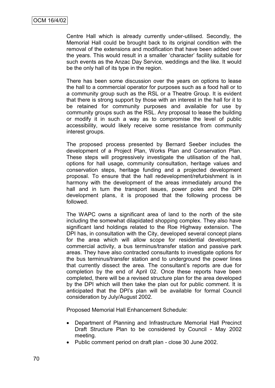Centre Hall which is already currently under-utilised. Secondly, the Memorial Hall could be brought back to its original condition with the removal of the extensions and modification that have been added over the years. This would result in a smaller "character" facility suitable for such events as the Anzac Day Service, weddings and the like. It would be the only hall of its type in the region.

There has been some discussion over the years on options to lease the hall to a commercial operator for purposes such as a food hall or to a community group such as the RSL or a Theatre Group. It is evident that there is strong support by those with an interest in the hall for it to be retained for community purposes and available for use by community groups such as the RSL. Any proposal to lease the building or modify it in such a way as to compromise the level of public accessibility, would likely receive some resistance from community interest groups.

The proposed process presented by Bernard Seeber includes the development of a Project Plan, Works Plan and Conservation Plan. These steps will progressively investigate the utilisation of the hall, options for hall usage, community consultation, heritage values and conservation steps, heritage funding and a projected development proposal. To ensure that the hall redevelopment/refurbishment is in harmony with the development of the areas immediately around the hall and in turn the transport issues, power poles and the DPI development plans, it is proposed that the following process be followed.

The WAPC owns a significant area of land to the north of the site including the somewhat dilapidated shopping complex. They also have significant land holdings related to the Roe Highway extension. The DPI has, in consultation with the City, developed several concept plans for the area which will allow scope for residential development, commercial activity, a bus terminus/transfer station and passive park areas. They have also contracted consultants to investigate options for the bus terminus/transfer station and to underground the power lines that currently dissect the area. The consultant"s reports are due for completion by the end of April 02. Once these reports have been completed, there will be a revised structure plan for the area developed by the DPI which will then take the plan out for public comment. It is anticipated that the DPI's plan will be available for formal Council consideration by July/August 2002.

Proposed Memorial Hall Enhancement Schedule:

- Department of Planning and Infrastructure Memorial Hall Precinct Draft Structure Plan to be considered by Council - May 2002 meeting.
- Public comment period on draft plan close 30 June 2002.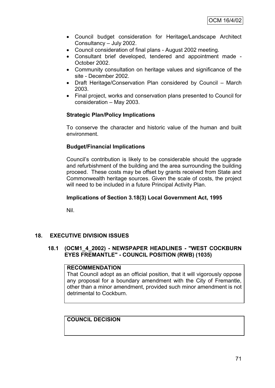- Council budget consideration for Heritage/Landscape Architect Consultancy – July 2002.
- Council consideration of final plans August 2002 meeting.
- Consultant brief developed, tendered and appointment made October 2002.
- Community consultation on heritage values and significance of the site - December 2002.
- Draft Heritage/Conservation Plan considered by Council March 2003.
- Final project, works and conservation plans presented to Council for consideration – May 2003.

## **Strategic Plan/Policy Implications**

To conserve the character and historic value of the human and built environment.

## **Budget/Financial Implications**

Council"s contribution is likely to be considerable should the upgrade and refurbishment of the building and the area surrounding the building proceed. These costs may be offset by grants received from State and Commonwealth heritage sources. Given the scale of costs, the project will need to be included in a future Principal Activity Plan.

## **Implications of Section 3.18(3) Local Government Act, 1995**

Nil.

## **18. EXECUTIVE DIVISION ISSUES**

## **18.1 (OCM1\_4\_2002) - NEWSPAPER HEADLINES - "WEST COCKBURN EYES FREMANTLE" - COUNCIL POSITION (RWB) (1035)**

#### **RECOMMENDATION**

That Council adopt as an official position, that it will vigorously oppose any proposal for a boundary amendment with the City of Fremantle, other than a minor amendment, provided such minor amendment is not detrimental to Cockburn.

## **COUNCIL DECISION**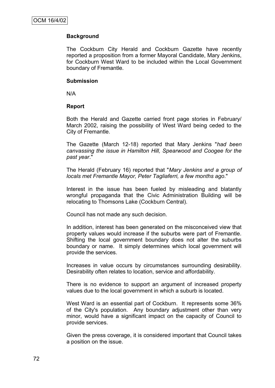## **Background**

The Cockburn City Herald and Cockburn Gazette have recently reported a proposition from a former Mayoral Candidate, Mary Jenkins, for Cockburn West Ward to be included within the Local Government boundary of Fremantle.

#### **Submission**

N/A

### **Report**

Both the Herald and Gazette carried front page stories in February/ March 2002, raising the possibility of West Ward being ceded to the City of Fremantle.

The Gazette (March 12-18) reported that Mary Jenkins "*had been canvassing the issue in Hamilton Hill, Spearwood and Coogee for the past year*."

The Herald (February 16) reported that "*Mary Jenkins and a group of locals met Fremantle Mayor, Peter Tagliaferri, a few months ago*."

Interest in the issue has been fueled by misleading and blatantly wrongful propaganda that the Civic Administration Building will be relocating to Thomsons Lake (Cockburn Central).

Council has not made any such decision.

In addition, interest has been generated on the misconceived view that property values would increase if the suburbs were part of Fremantle. Shifting the local government boundary does not alter the suburbs boundary or name. It simply determines which local government will provide the services.

Increases in value occurs by circumstances surrounding desirability. Desirability often relates to location, service and affordability.

There is no evidence to support an argument of increased property values due to the local government in which a suburb is located.

West Ward is an essential part of Cockburn. It represents some 36% of the City's population. Any boundary adjustment other than very minor, would have a significant impact on the capacity of Council to provide services.

Given the press coverage, it is considered important that Council takes a position on the issue.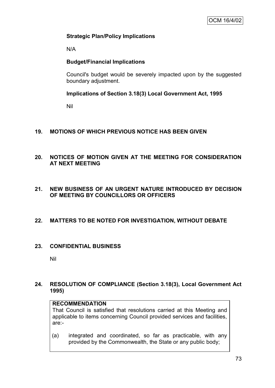## **Strategic Plan/Policy Implications**

N/A

## **Budget/Financial Implications**

Council's budget would be severely impacted upon by the suggested boundary adjustment.

## **Implications of Section 3.18(3) Local Government Act, 1995**

Nil

## **19. MOTIONS OF WHICH PREVIOUS NOTICE HAS BEEN GIVEN**

## **20. NOTICES OF MOTION GIVEN AT THE MEETING FOR CONSIDERATION AT NEXT MEETING**

## **21. NEW BUSINESS OF AN URGENT NATURE INTRODUCED BY DECISION OF MEETING BY COUNCILLORS OR OFFICERS**

## **22. MATTERS TO BE NOTED FOR INVESTIGATION, WITHOUT DEBATE**

## **23. CONFIDENTIAL BUSINESS**

Nil

## **24. RESOLUTION OF COMPLIANCE (Section 3.18(3), Local Government Act 1995)**

## **RECOMMENDATION**

That Council is satisfied that resolutions carried at this Meeting and applicable to items concerning Council provided services and facilities, are:-

(a) integrated and coordinated, so far as practicable, with any provided by the Commonwealth, the State or any public body;